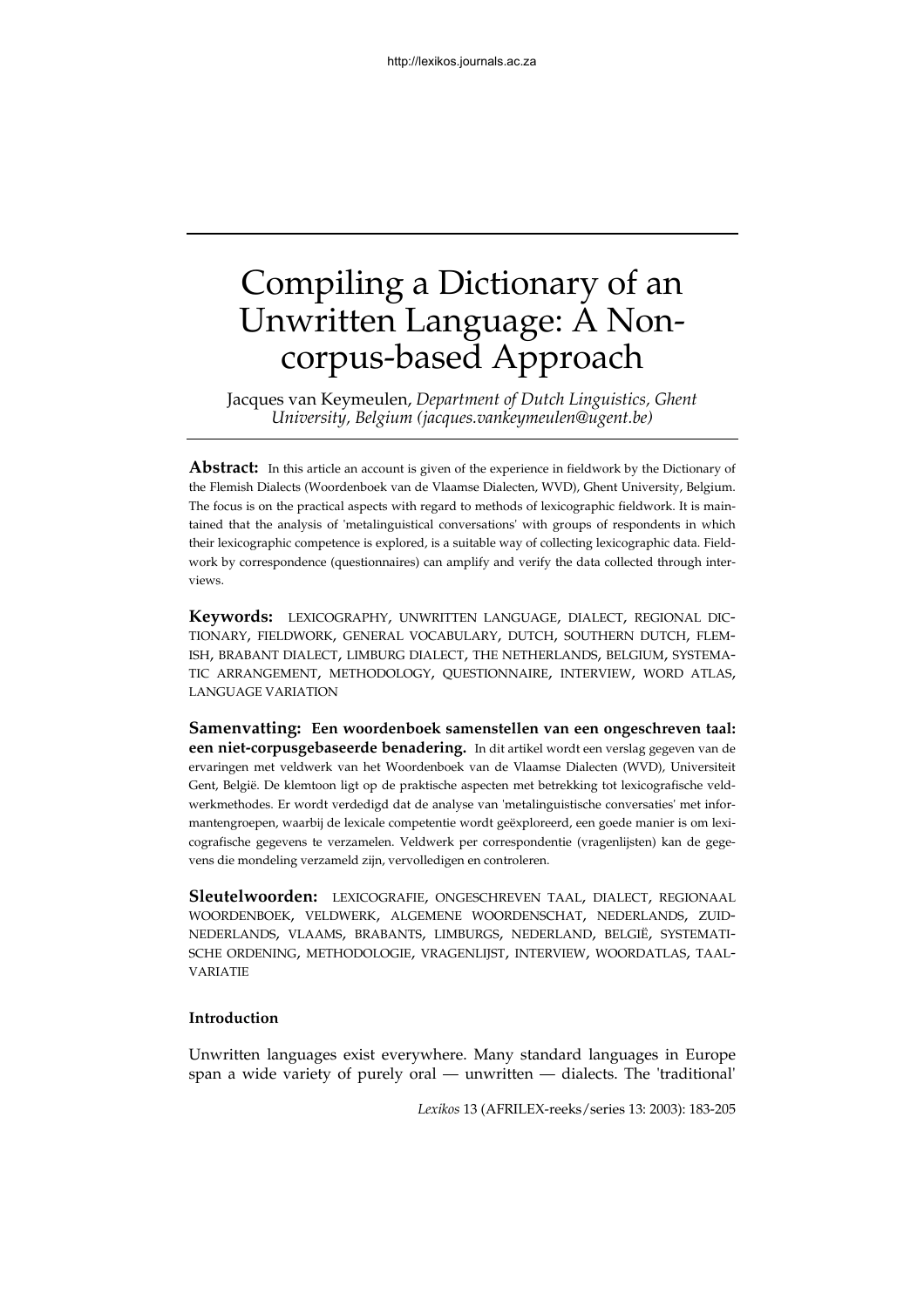# Compiling a Dictionary of an Unwritten Language: A Noncorpus-based Approach

Jacques van Keymeulen, *Department of Dutch Linguistics, Ghent University, Belgium (jacques.vankeymeulen@ugent.be)*

**Abstract:** In this article an account is given of the experience in fieldwork by the Dictionary of the Flemish Dialects (Woordenboek van de Vlaamse Dialecten, WVD), Ghent University, Belgium. The focus is on the practical aspects with regard to methods of lexicographic fieldwork. It is maintained that the analysis of 'metalinguistical conversations' with groups of respondents in which their lexicographic competence is explored, is a suitable way of collecting lexicographic data. Fieldwork by correspondence (questionnaires) can amplify and verify the data collected through interviews.

**Keywords:** LEXICOGRAPHY, UNWRITTEN LANGUAGE, DIALECT, REGIONAL DIC-TIONARY, FIELDWORK, GENERAL VOCABULARY, DUTCH, SOUTHERN DUTCH, FLEM-ISH, BRABANT DIALECT, LIMBURG DIALECT, THE NETHERLANDS, BELGIUM, SYSTEMA-TIC ARRANGEMENT, METHODOLOGY, QUESTIONNAIRE, INTERVIEW, WORD ATLAS, LANGUAGE VARIATION

**Samenvatting: Een woordenboek samenstellen van een ongeschreven taal: een niet-corpusgebaseerde benadering.** In dit artikel wordt een verslag gegeven van de ervaringen met veldwerk van het Woordenboek van de Vlaamse Dialecten (WVD), Universiteit Gent, België. De klemtoon ligt op de praktische aspecten met betrekking tot lexicografische veldwerkmethodes. Er wordt verdedigd dat de analyse van 'metalinguistische conversaties' met informantengroepen, waarbij de lexicale competentie wordt geëxploreerd, een goede manier is om lexicografische gegevens te verzamelen. Veldwerk per correspondentie (vragenlijsten) kan de gegevens die mondeling verzameld zijn, vervolledigen en controleren.

**Sleutelwoorden:** LEXICOGRAFIE, ONGESCHREVEN TAAL, DIALECT, REGIONAAL WOORDENBOEK, VELDWERK, ALGEMENE WOORDENSCHAT, NEDERLANDS, ZUID-NEDERLANDS, VLAAMS, BRABANTS, LIMBURGS, NEDERLAND, BELGIË, SYSTEMATI-SCHE ORDENING, METHODOLOGIE, VRAGENLIJST, INTERVIEW, WOORDATLAS, TAAL-VARIATIE

# **Introduction**

Unwritten languages exist everywhere. Many standard languages in Europe span a wide variety of purely oral — unwritten — dialects. The 'traditional'

*Lexikos* 13 (AFRILEX-reeks/series 13: 2003): 183-205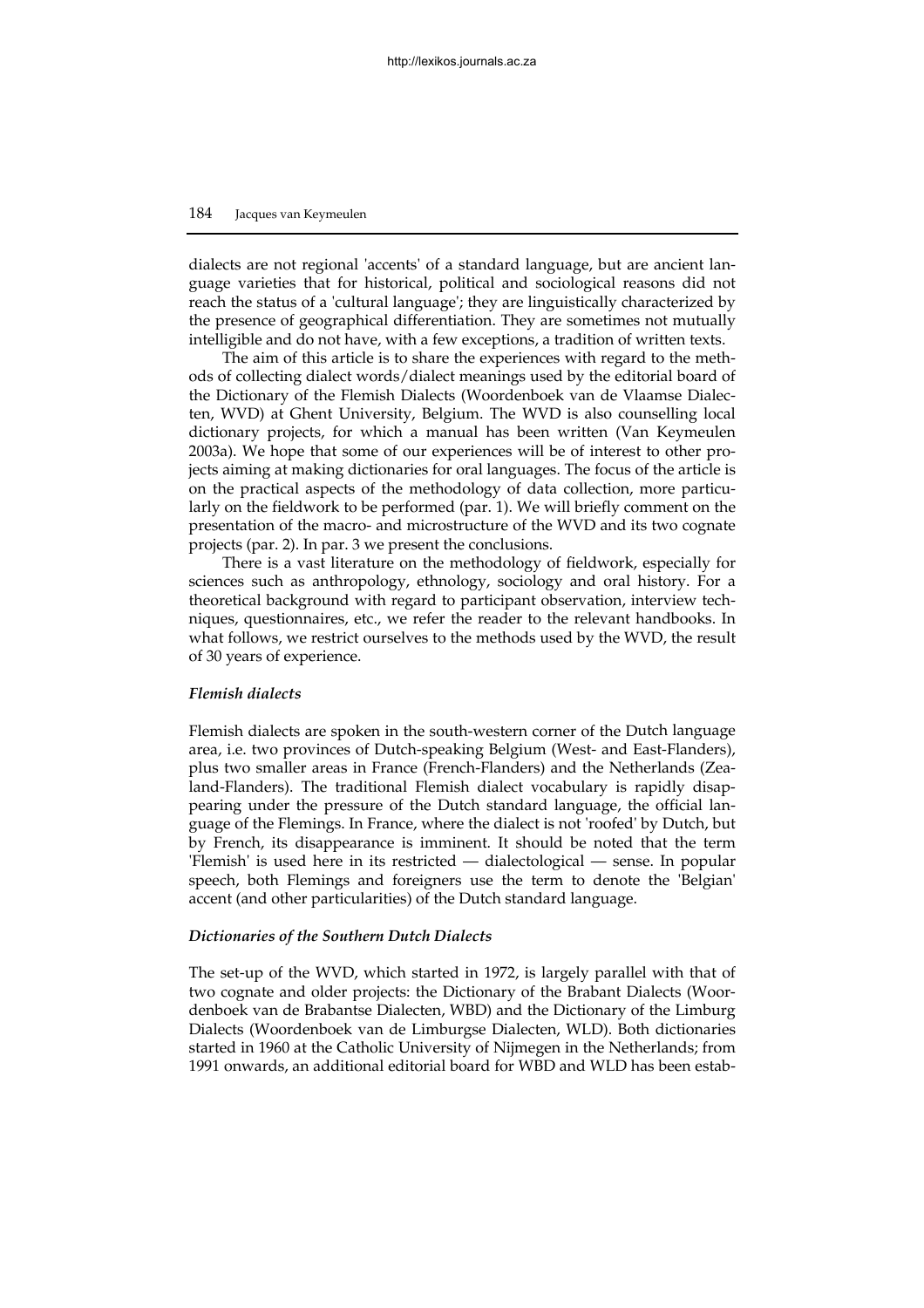dialects are not regional 'accents' of a standard language, but are ancient language varieties that for historical, political and sociological reasons did not reach the status of a 'cultural language'; they are linguistically characterized by the presence of geographical differentiation. They are sometimes not mutually intelligible and do not have, with a few exceptions, a tradition of written texts.

The aim of this article is to share the experiences with regard to the methods of collecting dialect words/dialect meanings used by the editorial board of the Dictionary of the Flemish Dialects (Woordenboek van de Vlaamse Dialecten, WVD) at Ghent University, Belgium. The WVD is also counselling local dictionary projects, for which a manual has been written (Van Keymeulen 2003a). We hope that some of our experiences will be of interest to other projects aiming at making dictionaries for oral languages. The focus of the article is on the practical aspects of the methodology of data collection, more particularly on the fieldwork to be performed (par. 1). We will briefly comment on the presentation of the macro- and microstructure of the WVD and its two cognate projects (par. 2). In par. 3 we present the conclusions.

There is a vast literature on the methodology of fieldwork, especially for sciences such as anthropology, ethnology, sociology and oral history. For a theoretical background with regard to participant observation, interview techniques, questionnaires, etc., we refer the reader to the relevant handbooks. In what follows, we restrict ourselves to the methods used by the WVD, the result of 30 years of experience.

## *Flemish dialects*

Flemish dialects are spoken in the south-western corner of the Dutch language area, i.e. two provinces of Dutch-speaking Belgium (West- and East-Flanders), plus two smaller areas in France (French-Flanders) and the Netherlands (Zealand-Flanders). The traditional Flemish dialect vocabulary is rapidly disappearing under the pressure of the Dutch standard language, the official language of the Flemings. In France, where the dialect is not 'roofed' by Dutch, but by French, its disappearance is imminent. It should be noted that the term 'Flemish' is used here in its restricted — dialectological — sense. In popular speech, both Flemings and foreigners use the term to denote the 'Belgian' accent (and other particularities) of the Dutch standard language.

#### *Dictionaries of the Southern Dutch Dialects*

The set-up of the WVD, which started in 1972, is largely parallel with that of two cognate and older projects: the Dictionary of the Brabant Dialects (Woordenboek van de Brabantse Dialecten, WBD) and the Dictionary of the Limburg Dialects (Woordenboek van de Limburgse Dialecten, WLD). Both dictionaries started in 1960 at the Catholic University of Nijmegen in the Netherlands; from 1991 onwards, an additional editorial board for WBD and WLD has been estab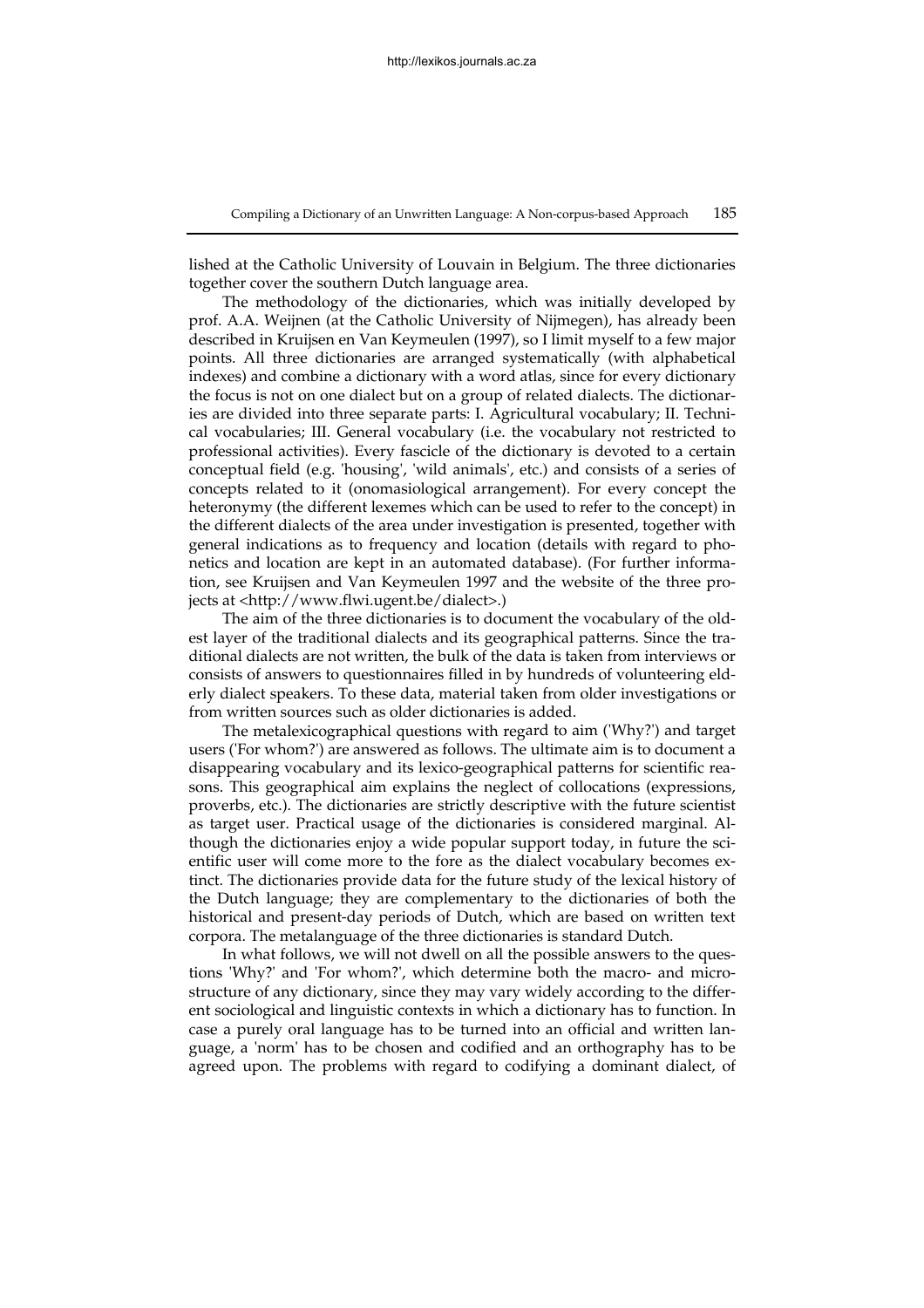lished at the Catholic University of Louvain in Belgium. The three dictionaries together cover the southern Dutch language area.

The methodology of the dictionaries, which was initially developed by prof. A.A. Weijnen (at the Catholic University of Nijmegen), has already been described in Kruijsen en Van Keymeulen (1997), so I limit myself to a few major points. All three dictionaries are arranged systematically (with alphabetical indexes) and combine a dictionary with a word atlas, since for every dictionary the focus is not on one dialect but on a group of related dialects. The dictionaries are divided into three separate parts: I. Agricultural vocabulary; II. Technical vocabularies; III. General vocabulary (i.e. the vocabulary not restricted to professional activities). Every fascicle of the dictionary is devoted to a certain conceptual field (e.g. 'housing', 'wild animals', etc.) and consists of a series of concepts related to it (onomasiological arrangement). For every concept the heteronymy (the different lexemes which can be used to refer to the concept) in the different dialects of the area under investigation is presented, together with general indications as to frequency and location (details with regard to phonetics and location are kept in an automated database). (For further information, see Kruijsen and Van Keymeulen 1997 and the website of the three projects at <http://www.flwi.ugent.be/dialect>.)

The aim of the three dictionaries is to document the vocabulary of the oldest layer of the traditional dialects and its geographical patterns. Since the traditional dialects are not written, the bulk of the data is taken from interviews or consists of answers to questionnaires filled in by hundreds of volunteering elderly dialect speakers. To these data, material taken from older investigations or from written sources such as older dictionaries is added.

The metalexicographical questions with regard to aim ('Why?') and target users ('For whom?') are answered as follows. The ultimate aim is to document a disappearing vocabulary and its lexico-geographical patterns for scientific reasons. This geographical aim explains the neglect of collocations (expressions, proverbs, etc.). The dictionaries are strictly descriptive with the future scientist as target user. Practical usage of the dictionaries is considered marginal. Although the dictionaries enjoy a wide popular support today, in future the scientific user will come more to the fore as the dialect vocabulary becomes extinct. The dictionaries provide data for the future study of the lexical history of the Dutch language; they are complementary to the dictionaries of both the historical and present-day periods of Dutch, which are based on written text corpora. The metalanguage of the three dictionaries is standard Dutch.

In what follows, we will not dwell on all the possible answers to the questions 'Why?' and 'For whom?', which determine both the macro- and microstructure of any dictionary, since they may vary widely according to the different sociological and linguistic contexts in which a dictionary has to function. In case a purely oral language has to be turned into an official and written language, a 'norm' has to be chosen and codified and an orthography has to be agreed upon. The problems with regard to codifying a dominant dialect, of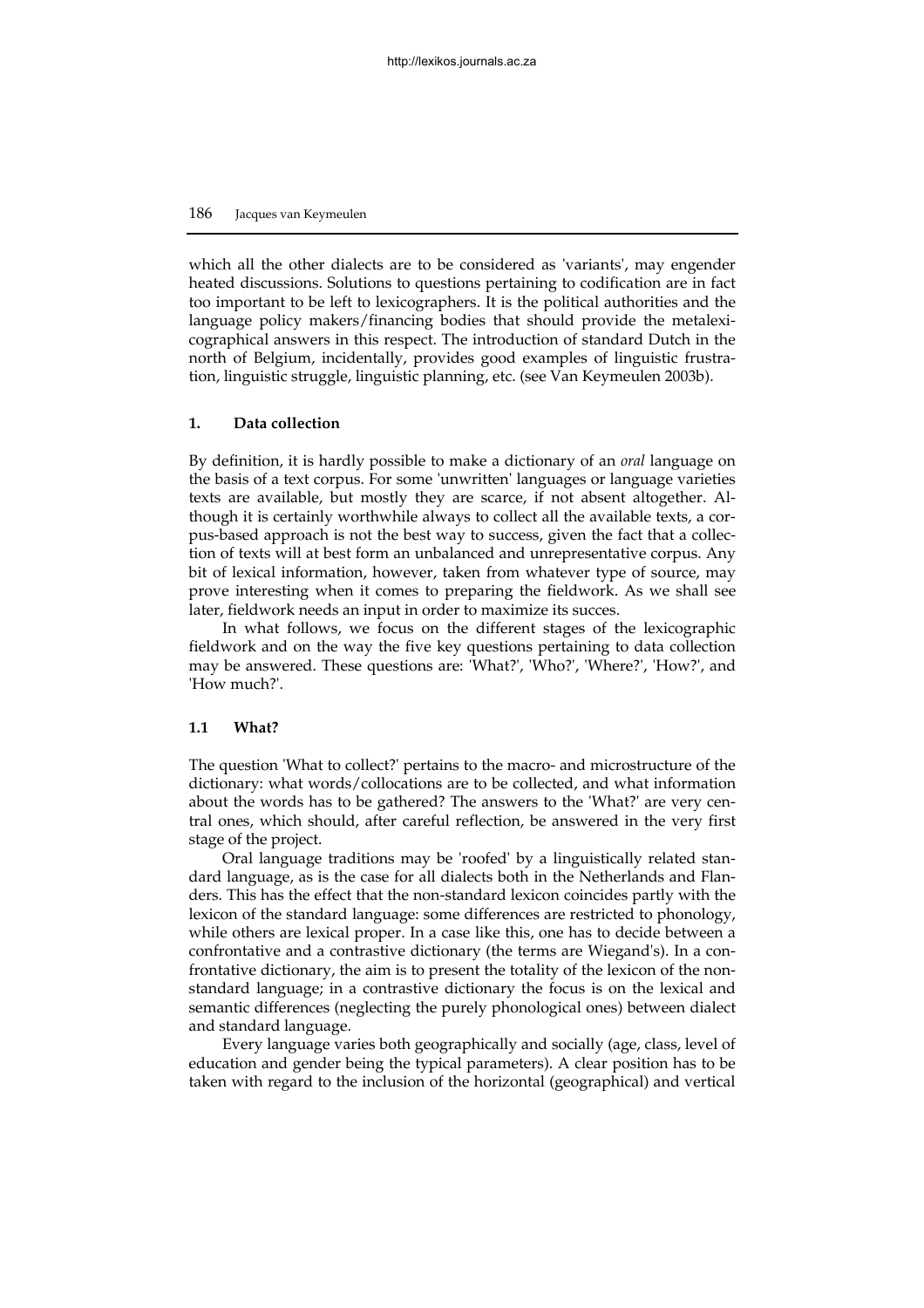which all the other dialects are to be considered as 'variants', may engender heated discussions. Solutions to questions pertaining to codification are in fact too important to be left to lexicographers. It is the political authorities and the language policy makers/financing bodies that should provide the metalexicographical answers in this respect. The introduction of standard Dutch in the north of Belgium, incidentally, provides good examples of linguistic frustration, linguistic struggle, linguistic planning, etc. (see Van Keymeulen 2003b).

## **1. Data collection**

By definition, it is hardly possible to make a dictionary of an *oral* language on the basis of a text corpus. For some 'unwritten' languages or language varieties texts are available, but mostly they are scarce, if not absent altogether. Although it is certainly worthwhile always to collect all the available texts, a corpus-based approach is not the best way to success, given the fact that a collection of texts will at best form an unbalanced and unrepresentative corpus. Any bit of lexical information, however, taken from whatever type of source, may prove interesting when it comes to preparing the fieldwork. As we shall see later, fieldwork needs an input in order to maximize its succes.

In what follows, we focus on the different stages of the lexicographic fieldwork and on the way the five key questions pertaining to data collection may be answered. These questions are: 'What?', 'Who?', 'Where?', 'How?', and 'How much?'.

### **1.1 What?**

The question 'What to collect?' pertains to the macro- and microstructure of the dictionary: what words/collocations are to be collected, and what information about the words has to be gathered? The answers to the 'What?' are very central ones, which should, after careful reflection, be answered in the very first stage of the project.

Oral language traditions may be 'roofed' by a linguistically related standard language, as is the case for all dialects both in the Netherlands and Flanders. This has the effect that the non-standard lexicon coincides partly with the lexicon of the standard language: some differences are restricted to phonology, while others are lexical proper. In a case like this, one has to decide between a confrontative and a contrastive dictionary (the terms are Wiegand's). In a confrontative dictionary, the aim is to present the totality of the lexicon of the nonstandard language; in a contrastive dictionary the focus is on the lexical and semantic differences (neglecting the purely phonological ones) between dialect and standard language.

Every language varies both geographically and socially (age, class, level of education and gender being the typical parameters). A clear position has to be taken with regard to the inclusion of the horizontal (geographical) and vertical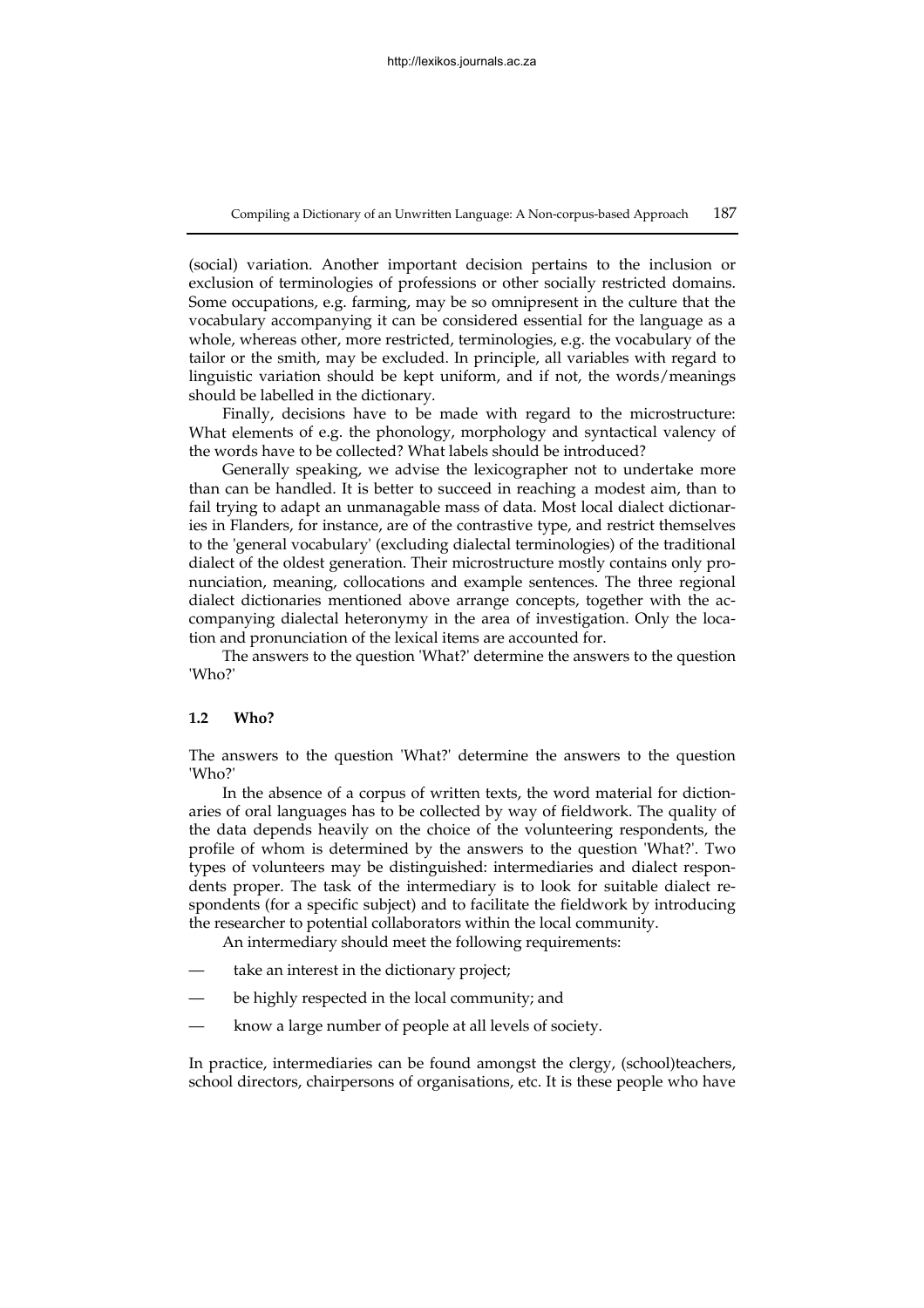Compiling a Dictionary of an Unwritten Language: A Non-corpus-based Approach 187

(social) variation. Another important decision pertains to the inclusion or exclusion of terminologies of professions or other socially restricted domains. Some occupations, e.g. farming, may be so omnipresent in the culture that the vocabulary accompanying it can be considered essential for the language as a whole, whereas other, more restricted, terminologies, e.g. the vocabulary of the tailor or the smith, may be excluded. In principle, all variables with regard to linguistic variation should be kept uniform, and if not, the words/meanings should be labelled in the dictionary.

Finally, decisions have to be made with regard to the microstructure: What elements of e.g. the phonology, morphology and syntactical valency of the words have to be collected? What labels should be introduced?

Generally speaking, we advise the lexicographer not to undertake more than can be handled. It is better to succeed in reaching a modest aim, than to fail trying to adapt an unmanagable mass of data. Most local dialect dictionaries in Flanders, for instance, are of the contrastive type, and restrict themselves to the 'general vocabulary' (excluding dialectal terminologies) of the traditional dialect of the oldest generation. Their microstructure mostly contains only pronunciation, meaning, collocations and example sentences. The three regional dialect dictionaries mentioned above arrange concepts, together with the accompanying dialectal heteronymy in the area of investigation. Only the location and pronunciation of the lexical items are accounted for.

The answers to the question 'What?' determine the answers to the question 'Who?'

#### **1.2 Who?**

The answers to the question 'What?' determine the answers to the question 'Who?'

In the absence of a corpus of written texts, the word material for dictionaries of oral languages has to be collected by way of fieldwork. The quality of the data depends heavily on the choice of the volunteering respondents, the profile of whom is determined by the answers to the question 'What?'. Two types of volunteers may be distinguished: intermediaries and dialect respondents proper. The task of the intermediary is to look for suitable dialect respondents (for a specific subject) and to facilitate the fieldwork by introducing the researcher to potential collaborators within the local community.

An intermediary should meet the following requirements:

- take an interest in the dictionary project;
- be highly respected in the local community; and
- know a large number of people at all levels of society.

In practice, intermediaries can be found amongst the clergy, (school)teachers, school directors, chairpersons of organisations, etc. It is these people who have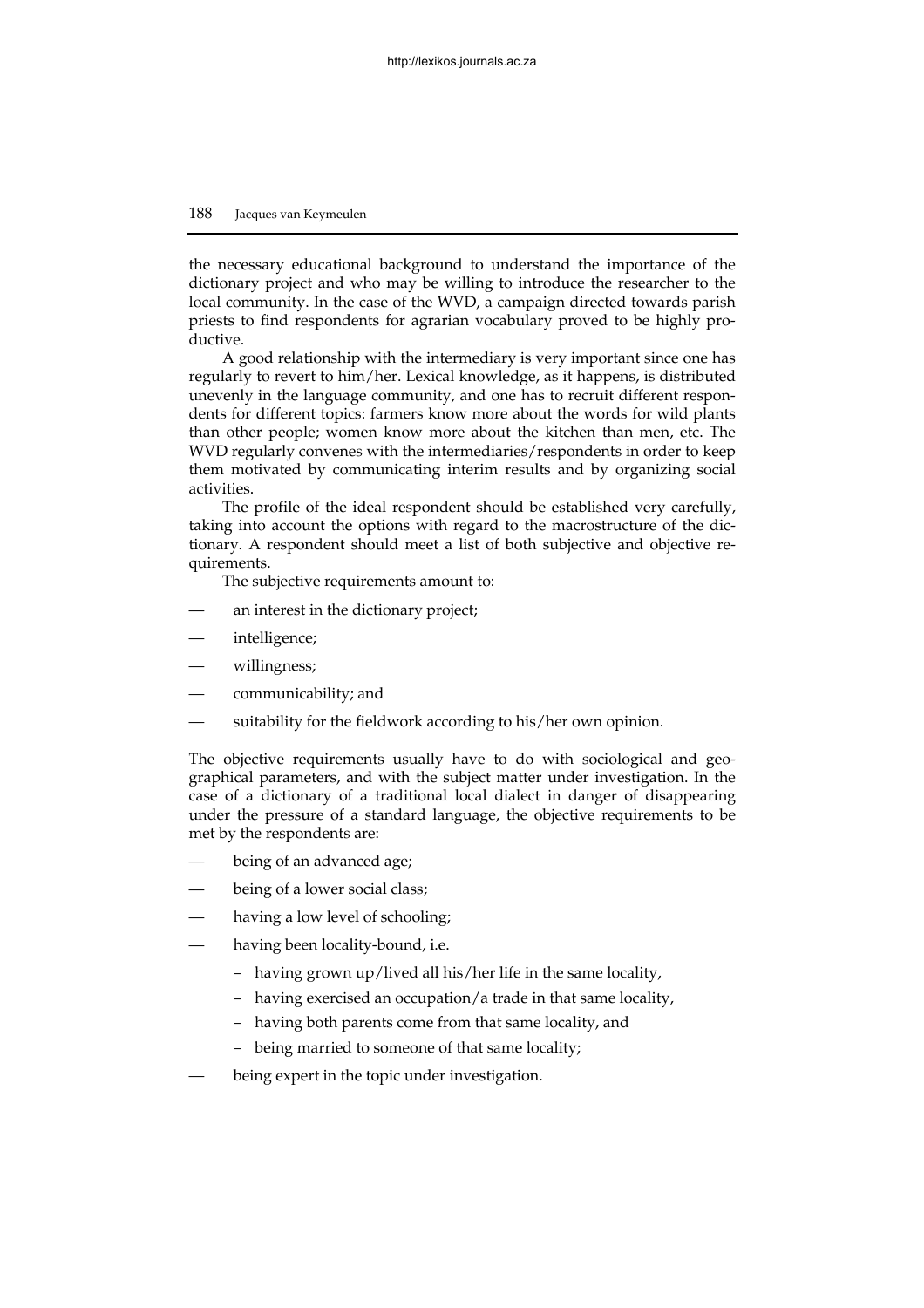the necessary educational background to understand the importance of the dictionary project and who may be willing to introduce the researcher to the local community. In the case of the WVD, a campaign directed towards parish priests to find respondents for agrarian vocabulary proved to be highly productive.

A good relationship with the intermediary is very important since one has regularly to revert to him/her. Lexical knowledge, as it happens, is distributed unevenly in the language community, and one has to recruit different respondents for different topics: farmers know more about the words for wild plants than other people; women know more about the kitchen than men, etc. The WVD regularly convenes with the intermediaries/respondents in order to keep them motivated by communicating interim results and by organizing social activities.

The profile of the ideal respondent should be established very carefully, taking into account the options with regard to the macrostructure of the dictionary. A respondent should meet a list of both subjective and objective requirements.

The subjective requirements amount to:

- an interest in the dictionary project;
- intelligence;
- willingness;
- communicability; and
- suitability for the fieldwork according to his/her own opinion.

The objective requirements usually have to do with sociological and geographical parameters, and with the subject matter under investigation. In the case of a dictionary of a traditional local dialect in danger of disappearing under the pressure of a standard language, the objective requirements to be met by the respondents are:

- being of an advanced age;
- being of a lower social class;
- having a low level of schooling;
- having been locality-bound, i.e.
	- having grown up/lived all his/her life in the same locality,
	- having exercised an occupation/a trade in that same locality,
	- having both parents come from that same locality, and
	- being married to someone of that same locality;
- being expert in the topic under investigation.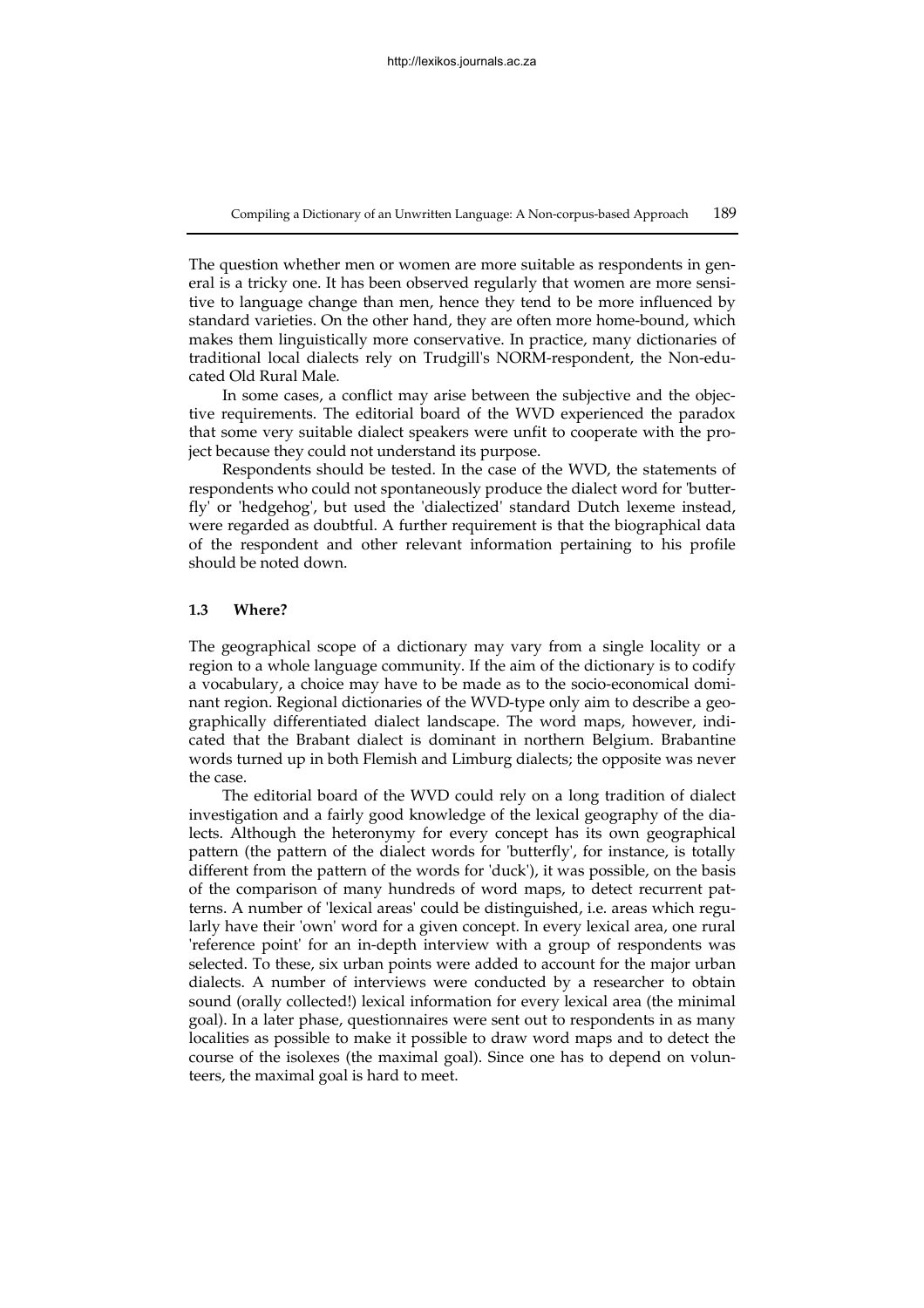Compiling a Dictionary of an Unwritten Language: A Non-corpus-based Approach 189

The question whether men or women are more suitable as respondents in general is a tricky one. It has been observed regularly that women are more sensitive to language change than men, hence they tend to be more influenced by standard varieties. On the other hand, they are often more home-bound, which makes them linguistically more conservative. In practice, many dictionaries of traditional local dialects rely on Trudgill's NORM-respondent, the Non-educated Old Rural Male.

In some cases, a conflict may arise between the subjective and the objective requirements. The editorial board of the WVD experienced the paradox that some very suitable dialect speakers were unfit to cooperate with the project because they could not understand its purpose.

Respondents should be tested. In the case of the WVD, the statements of respondents who could not spontaneously produce the dialect word for 'butterfly' or 'hedgehog', but used the 'dialectized' standard Dutch lexeme instead, were regarded as doubtful. A further requirement is that the biographical data of the respondent and other relevant information pertaining to his profile should be noted down.

#### **1.3 Where?**

The geographical scope of a dictionary may vary from a single locality or a region to a whole language community. If the aim of the dictionary is to codify a vocabulary, a choice may have to be made as to the socio-economical dominant region. Regional dictionaries of the WVD-type only aim to describe a geographically differentiated dialect landscape. The word maps, however, indicated that the Brabant dialect is dominant in northern Belgium. Brabantine words turned up in both Flemish and Limburg dialects; the opposite was never the case.

The editorial board of the WVD could rely on a long tradition of dialect investigation and a fairly good knowledge of the lexical geography of the dialects. Although the heteronymy for every concept has its own geographical pattern (the pattern of the dialect words for 'butterfly', for instance, is totally different from the pattern of the words for 'duck'), it was possible, on the basis of the comparison of many hundreds of word maps, to detect recurrent patterns. A number of 'lexical areas' could be distinguished, i.e. areas which regularly have their 'own' word for a given concept. In every lexical area, one rural 'reference point' for an in-depth interview with a group of respondents was selected. To these, six urban points were added to account for the major urban dialects. A number of interviews were conducted by a researcher to obtain sound (orally collected!) lexical information for every lexical area (the minimal goal). In a later phase, questionnaires were sent out to respondents in as many localities as possible to make it possible to draw word maps and to detect the course of the isolexes (the maximal goal). Since one has to depend on volunteers, the maximal goal is hard to meet.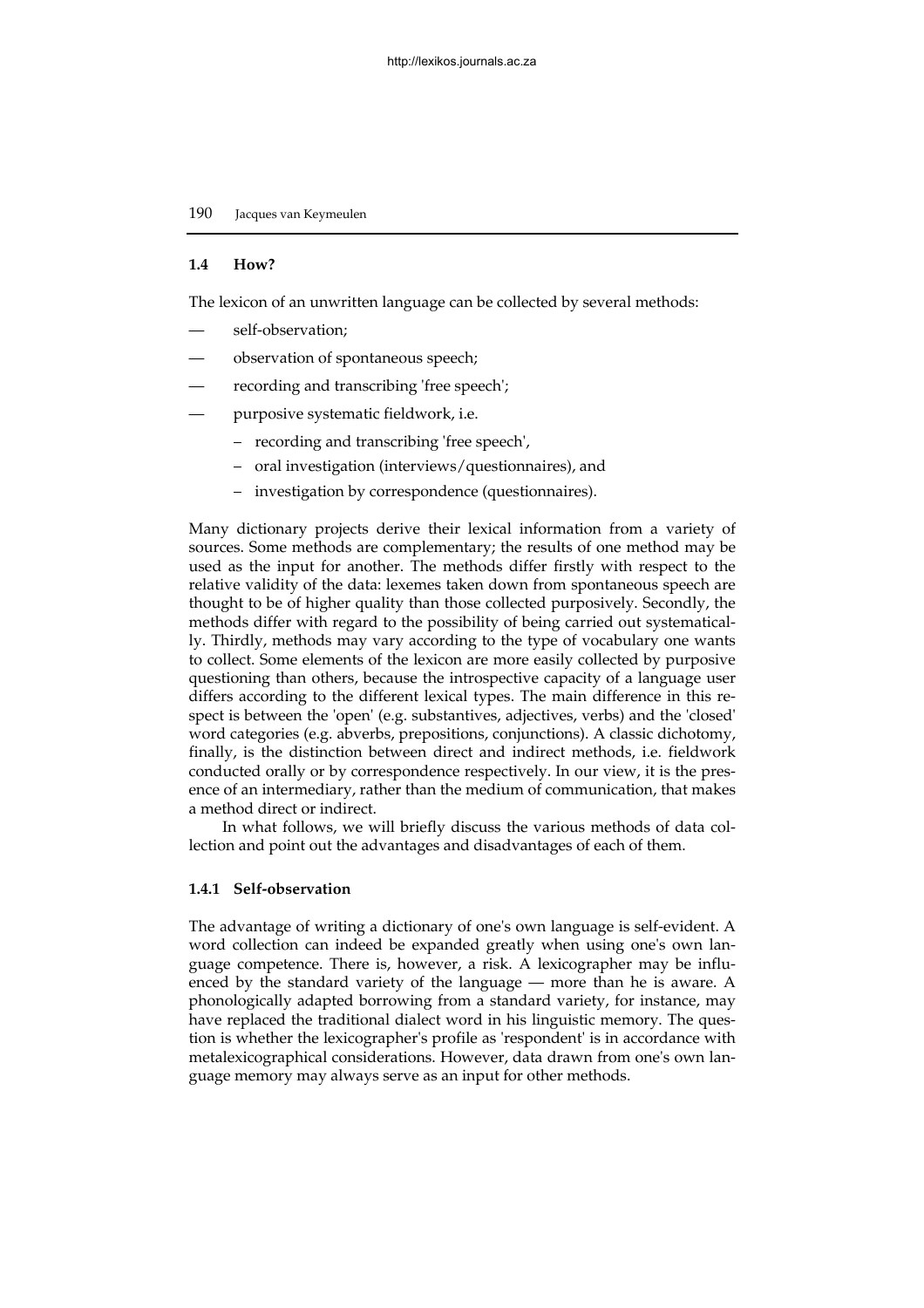## **1.4 How?**

The lexicon of an unwritten language can be collected by several methods:

- self-observation;
- observation of spontaneous speech;
- recording and transcribing 'free speech';
- purposive systematic fieldwork, i.e.
	- recording and transcribing 'free speech',
	- oral investigation (interviews/questionnaires), and
	- investigation by correspondence (questionnaires).

Many dictionary projects derive their lexical information from a variety of sources. Some methods are complementary; the results of one method may be used as the input for another. The methods differ firstly with respect to the relative validity of the data: lexemes taken down from spontaneous speech are thought to be of higher quality than those collected purposively. Secondly, the methods differ with regard to the possibility of being carried out systematically. Thirdly, methods may vary according to the type of vocabulary one wants to collect. Some elements of the lexicon are more easily collected by purposive questioning than others, because the introspective capacity of a language user differs according to the different lexical types. The main difference in this respect is between the 'open' (e.g. substantives, adjectives, verbs) and the 'closed' word categories (e.g. abverbs, prepositions, conjunctions). A classic dichotomy, finally, is the distinction between direct and indirect methods, i.e. fieldwork conducted orally or by correspondence respectively. In our view, it is the presence of an intermediary, rather than the medium of communication, that makes a method direct or indirect.

In what follows, we will briefly discuss the various methods of data collection and point out the advantages and disadvantages of each of them.

## **1.4.1 Self-observation**

The advantage of writing a dictionary of one's own language is self-evident. A word collection can indeed be expanded greatly when using one's own language competence. There is, however, a risk. A lexicographer may be influenced by the standard variety of the language — more than he is aware. A phonologically adapted borrowing from a standard variety, for instance, may have replaced the traditional dialect word in his linguistic memory. The question is whether the lexicographer's profile as 'respondent' is in accordance with metalexicographical considerations. However, data drawn from one's own language memory may always serve as an input for other methods.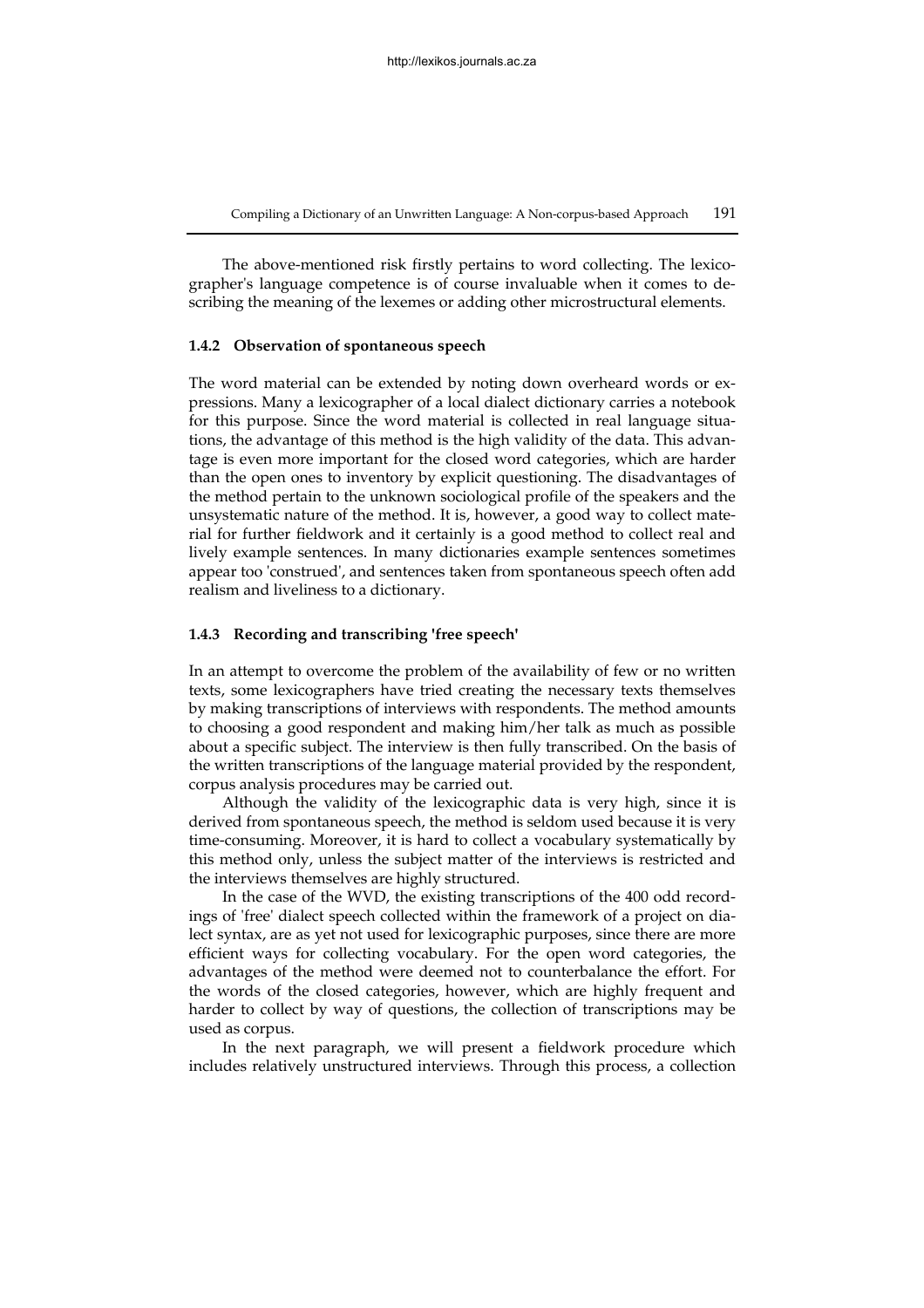The above-mentioned risk firstly pertains to word collecting. The lexicographer's language competence is of course invaluable when it comes to describing the meaning of the lexemes or adding other microstructural elements.

## **1.4.2 Observation of spontaneous speech**

The word material can be extended by noting down overheard words or expressions. Many a lexicographer of a local dialect dictionary carries a notebook for this purpose. Since the word material is collected in real language situations, the advantage of this method is the high validity of the data. This advantage is even more important for the closed word categories, which are harder than the open ones to inventory by explicit questioning. The disadvantages of the method pertain to the unknown sociological profile of the speakers and the unsystematic nature of the method. It is, however, a good way to collect material for further fieldwork and it certainly is a good method to collect real and lively example sentences. In many dictionaries example sentences sometimes appear too 'construed', and sentences taken from spontaneous speech often add realism and liveliness to a dictionary.

# **1.4.3 Recording and transcribing 'free speech'**

In an attempt to overcome the problem of the availability of few or no written texts, some lexicographers have tried creating the necessary texts themselves by making transcriptions of interviews with respondents. The method amounts to choosing a good respondent and making him/her talk as much as possible about a specific subject. The interview is then fully transcribed. On the basis of the written transcriptions of the language material provided by the respondent, corpus analysis procedures may be carried out.

Although the validity of the lexicographic data is very high, since it is derived from spontaneous speech, the method is seldom used because it is very time-consuming. Moreover, it is hard to collect a vocabulary systematically by this method only, unless the subject matter of the interviews is restricted and the interviews themselves are highly structured.

In the case of the WVD, the existing transcriptions of the 400 odd recordings of 'free' dialect speech collected within the framework of a project on dialect syntax, are as yet not used for lexicographic purposes, since there are more efficient ways for collecting vocabulary. For the open word categories, the advantages of the method were deemed not to counterbalance the effort. For the words of the closed categories, however, which are highly frequent and harder to collect by way of questions, the collection of transcriptions may be used as corpus.

In the next paragraph, we will present a fieldwork procedure which includes relatively unstructured interviews. Through this process, a collection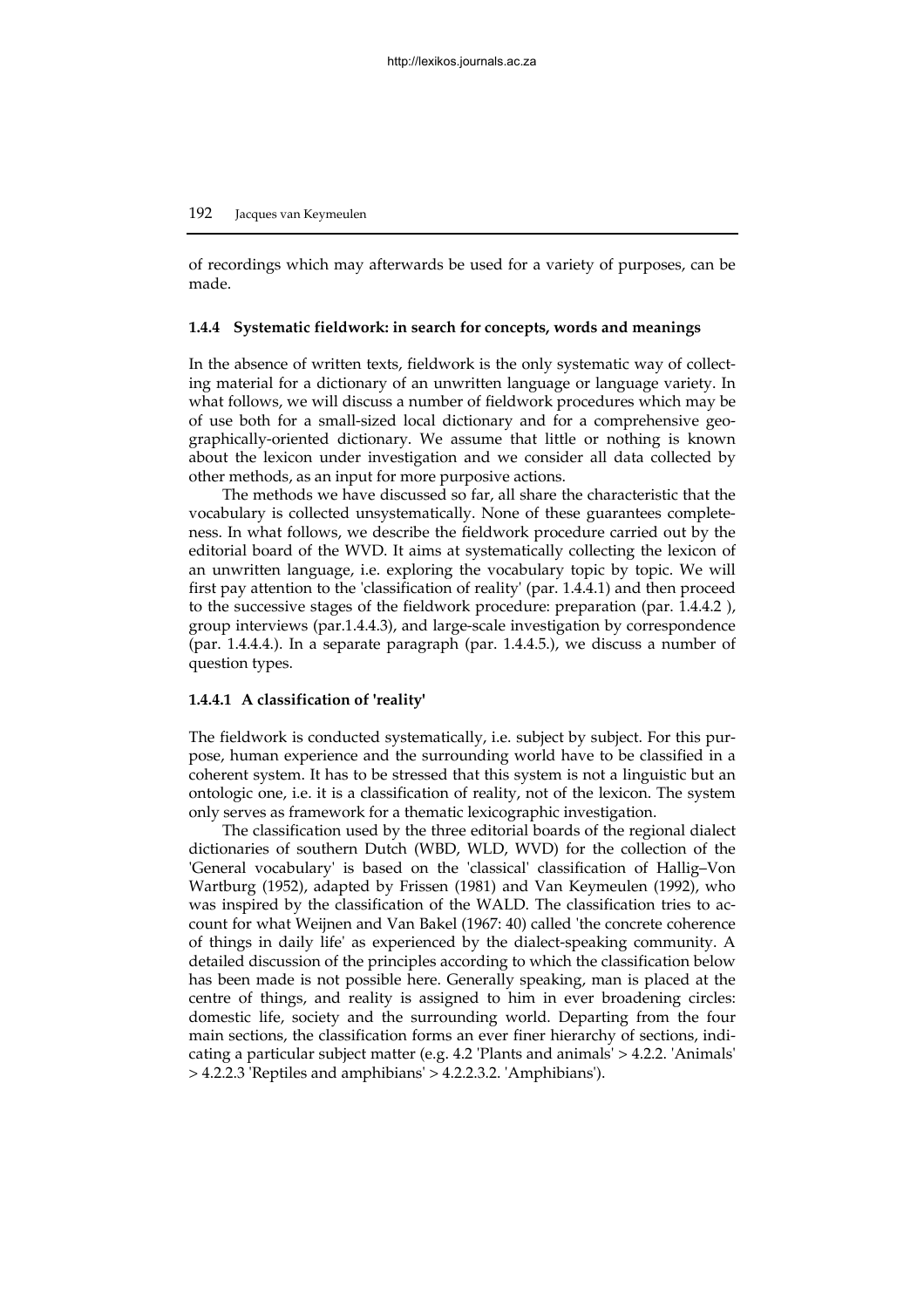of recordings which may afterwards be used for a variety of purposes, can be made.

## **1.4.4 Systematic fieldwork: in search for concepts, words and meanings**

In the absence of written texts, fieldwork is the only systematic way of collecting material for a dictionary of an unwritten language or language variety. In what follows, we will discuss a number of fieldwork procedures which may be of use both for a small-sized local dictionary and for a comprehensive geographically-oriented dictionary. We assume that little or nothing is known about the lexicon under investigation and we consider all data collected by other methods, as an input for more purposive actions.

The methods we have discussed so far, all share the characteristic that the vocabulary is collected unsystematically. None of these guarantees completeness. In what follows, we describe the fieldwork procedure carried out by the editorial board of the WVD. It aims at systematically collecting the lexicon of an unwritten language, i.e. exploring the vocabulary topic by topic. We will first pay attention to the 'classification of reality' (par. 1.4.4.1) and then proceed to the successive stages of the fieldwork procedure: preparation (par. 1.4.4.2 ), group interviews (par.1.4.4.3), and large-scale investigation by correspondence (par. 1.4.4.4.). In a separate paragraph (par. 1.4.4.5.), we discuss a number of question types.

#### **1.4.4.1 A classification of 'reality'**

The fieldwork is conducted systematically, i.e. subject by subject. For this purpose, human experience and the surrounding world have to be classified in a coherent system. It has to be stressed that this system is not a linguistic but an ontologic one, i.e. it is a classification of reality, not of the lexicon. The system only serves as framework for a thematic lexicographic investigation.

The classification used by the three editorial boards of the regional dialect dictionaries of southern Dutch (WBD, WLD, WVD) for the collection of the 'General vocabulary' is based on the 'classical' classification of Hallig–Von Wartburg (1952), adapted by Frissen (1981) and Van Keymeulen (1992), who was inspired by the classification of the WALD. The classification tries to account for what Weijnen and Van Bakel (1967: 40) called 'the concrete coherence of things in daily life' as experienced by the dialect-speaking community. A detailed discussion of the principles according to which the classification below has been made is not possible here. Generally speaking, man is placed at the centre of things, and reality is assigned to him in ever broadening circles: domestic life, society and the surrounding world. Departing from the four main sections, the classification forms an ever finer hierarchy of sections, indicating a particular subject matter (e.g. 4.2 'Plants and animals' > 4.2.2. 'Animals' > 4.2.2.3 'Reptiles and amphibians' > 4.2.2.3.2. 'Amphibians').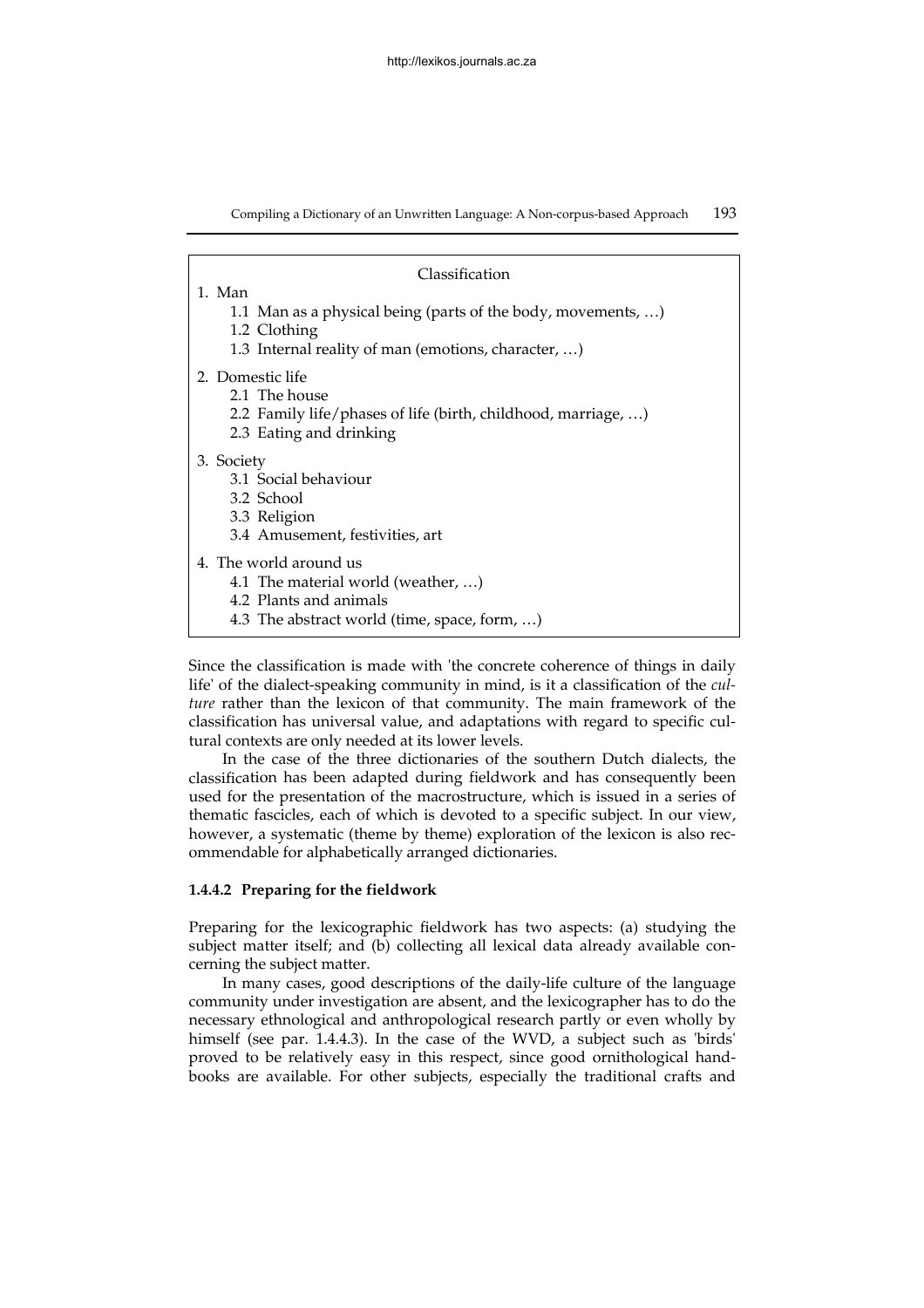| Classification                                                               |  |
|------------------------------------------------------------------------------|--|
| 1. Man                                                                       |  |
| 1.1 Man as a physical being (parts of the body, movements, )<br>1.2 Clothing |  |
| 1.3 Internal reality of man (emotions, character, )                          |  |
| 2. Domestic life                                                             |  |
| 2.1 The house                                                                |  |
| 2.2 Family life/phases of life (birth, childhood, marriage, )                |  |
| 2.3 Eating and drinking                                                      |  |
| 3. Society                                                                   |  |
| 3.1 Social behaviour                                                         |  |
| 3.2 School                                                                   |  |
| 3.3 Religion                                                                 |  |
| 3.4 Amusement, festivities, art                                              |  |
| 4. The world around us                                                       |  |
| 4.1 The material world (weather, )                                           |  |
| 4.2 Plants and animals                                                       |  |
| 4.3 The abstract world (time, space, form, )                                 |  |
|                                                                              |  |

Since the classification is made with 'the concrete coherence of things in daily life' of the dialect-speaking community in mind, is it a classification of the *culture* rather than the lexicon of that community. The main framework of the classification has universal value, and adaptations with regard to specific cultural contexts are only needed at its lower levels.

In the case of the three dictionaries of the southern Dutch dialects, the classification has been adapted during fieldwork and has consequently been used for the presentation of the macrostructure, which is issued in a series of thematic fascicles, each of which is devoted to a specific subject. In our view, however, a systematic (theme by theme) exploration of the lexicon is also recommendable for alphabetically arranged dictionaries.

## **1.4.4.2 Preparing for the fieldwork**

Preparing for the lexicographic fieldwork has two aspects: (a) studying the subject matter itself; and (b) collecting all lexical data already available concerning the subject matter.

In many cases, good descriptions of the daily-life culture of the language community under investigation are absent, and the lexicographer has to do the necessary ethnological and anthropological research partly or even wholly by himself (see par. 1.4.4.3). In the case of the WVD, a subject such as 'birds' proved to be relatively easy in this respect, since good ornithological handbooks are available. For other subjects, especially the traditional crafts and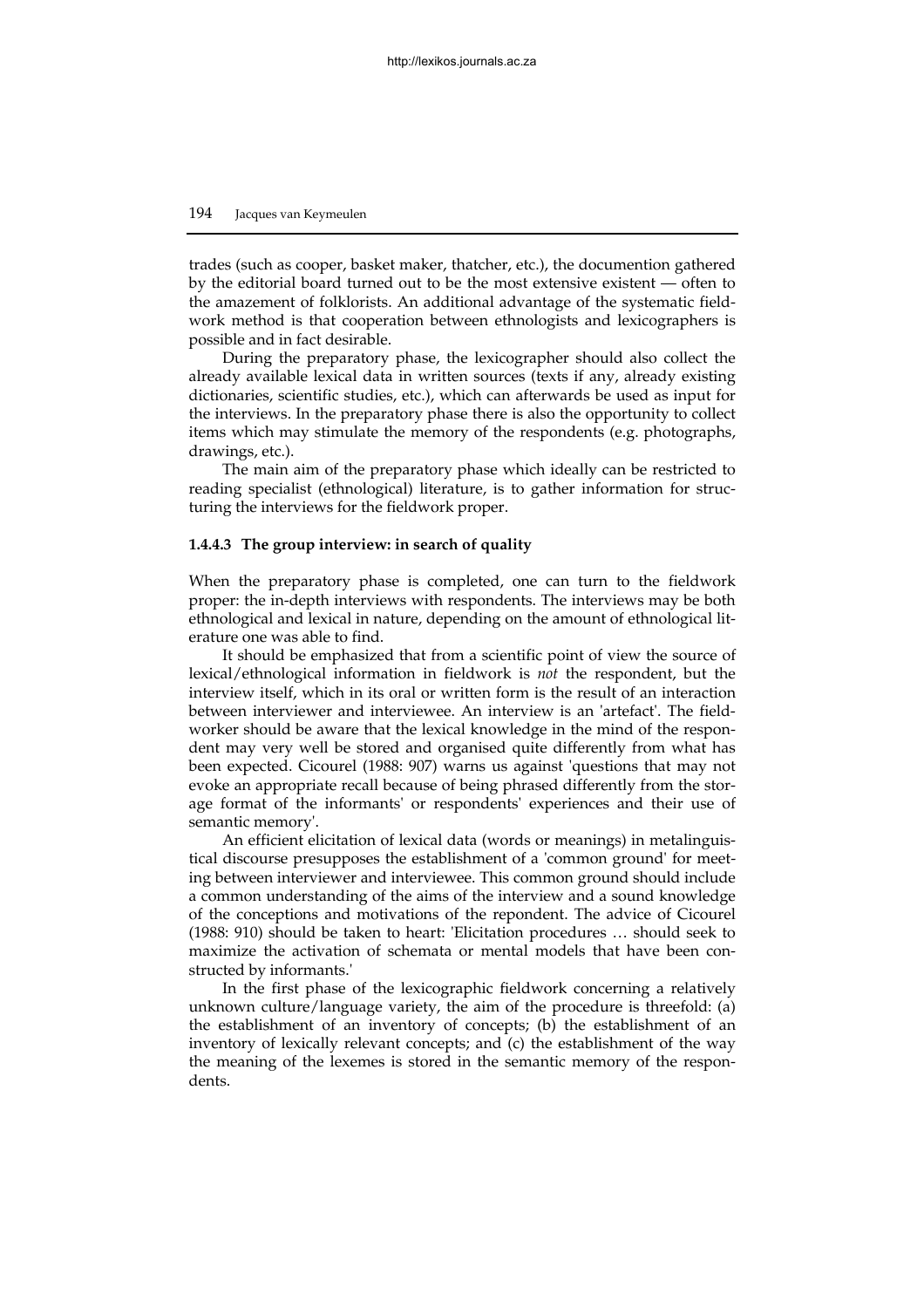trades (such as cooper, basket maker, thatcher, etc.), the documention gathered by the editorial board turned out to be the most extensive existent — often to the amazement of folklorists. An additional advantage of the systematic fieldwork method is that cooperation between ethnologists and lexicographers is possible and in fact desirable.

During the preparatory phase, the lexicographer should also collect the already available lexical data in written sources (texts if any, already existing dictionaries, scientific studies, etc.), which can afterwards be used as input for the interviews. In the preparatory phase there is also the opportunity to collect items which may stimulate the memory of the respondents (e.g. photographs, drawings, etc.).

The main aim of the preparatory phase which ideally can be restricted to reading specialist (ethnological) literature, is to gather information for structuring the interviews for the fieldwork proper.

## **1.4.4.3 The group interview: in search of quality**

When the preparatory phase is completed, one can turn to the fieldwork proper: the in-depth interviews with respondents. The interviews may be both ethnological and lexical in nature, depending on the amount of ethnological literature one was able to find.

It should be emphasized that from a scientific point of view the source of lexical/ethnological information in fieldwork is *not* the respondent, but the interview itself, which in its oral or written form is the result of an interaction between interviewer and interviewee. An interview is an 'artefact'. The fieldworker should be aware that the lexical knowledge in the mind of the respondent may very well be stored and organised quite differently from what has been expected. Cicourel (1988: 907) warns us against 'questions that may not evoke an appropriate recall because of being phrased differently from the storage format of the informants' or respondents' experiences and their use of semantic memory'.

An efficient elicitation of lexical data (words or meanings) in metalinguistical discourse presupposes the establishment of a 'common ground' for meeting between interviewer and interviewee. This common ground should include a common understanding of the aims of the interview and a sound knowledge of the conceptions and motivations of the repondent. The advice of Cicourel (1988: 910) should be taken to heart: 'Elicitation procedures … should seek to maximize the activation of schemata or mental models that have been constructed by informants.'

In the first phase of the lexicographic fieldwork concerning a relatively unknown culture/language variety, the aim of the procedure is threefold: (a) the establishment of an inventory of concepts; (b) the establishment of an inventory of lexically relevant concepts; and (c) the establishment of the way the meaning of the lexemes is stored in the semantic memory of the respondents.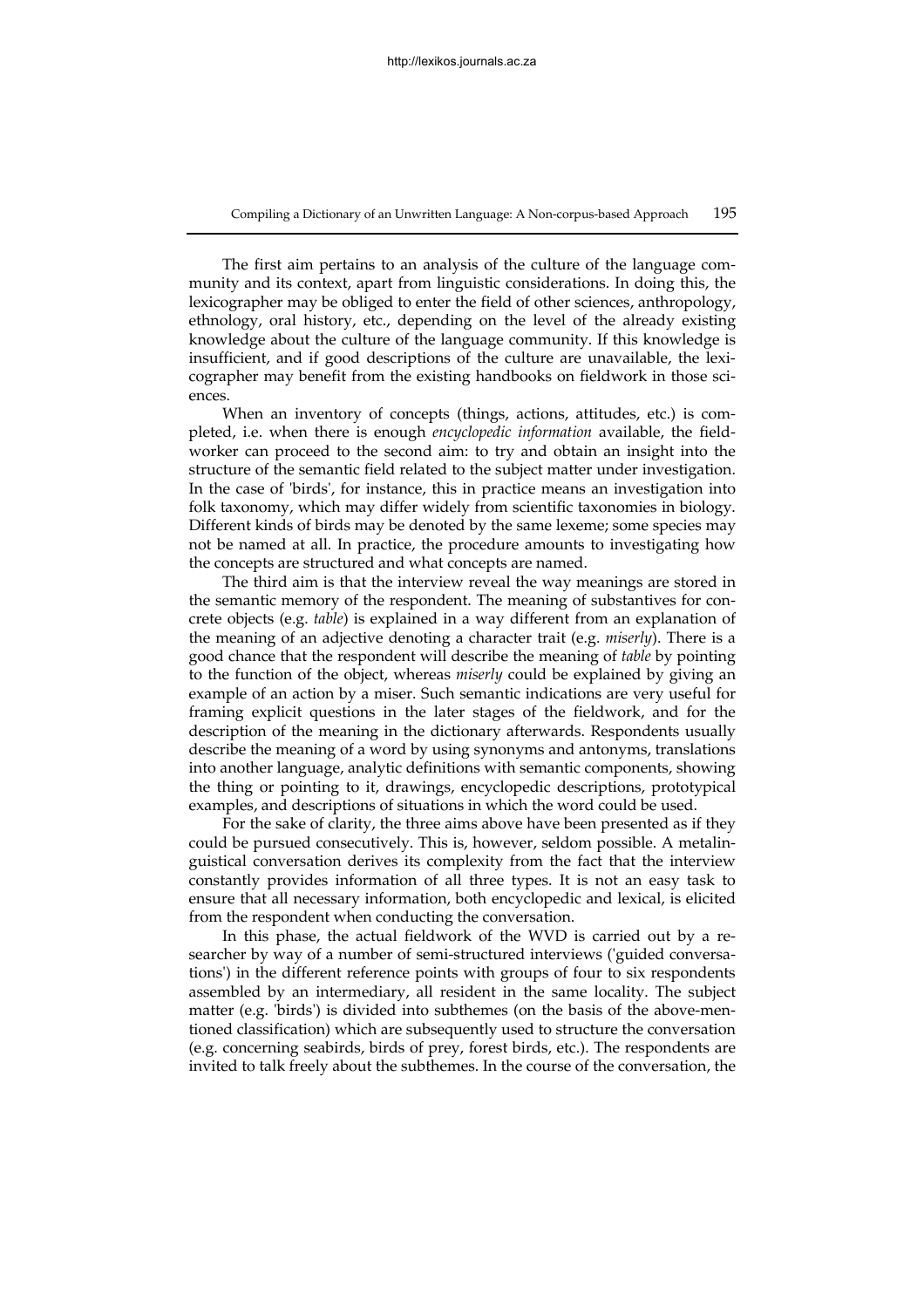http://lexikos.journals.ac.za

The first aim pertains to an analysis of the culture of the language community and its context, apart from linguistic considerations. In doing this, the lexicographer may be obliged to enter the field of other sciences, anthropology, ethnology, oral history, etc., depending on the level of the already existing knowledge about the culture of the language community. If this knowledge is insufficient, and if good descriptions of the culture are unavailable, the lexicographer may benefit from the existing handbooks on fieldwork in those sciences.

When an inventory of concepts (things, actions, attitudes, etc.) is completed, i.e. when there is enough *encyclopedic information* available, the fieldworker can proceed to the second aim: to try and obtain an insight into the structure of the semantic field related to the subject matter under investigation. In the case of 'birds', for instance, this in practice means an investigation into folk taxonomy, which may differ widely from scientific taxonomies in biology. Different kinds of birds may be denoted by the same lexeme; some species may not be named at all. In practice, the procedure amounts to investigating how the concepts are structured and what concepts are named.

The third aim is that the interview reveal the way meanings are stored in the semantic memory of the respondent. The meaning of substantives for concrete objects (e.g. *table*) is explained in a way different from an explanation of the meaning of an adjective denoting a character trait (e.g. *miserly*). There is a good chance that the respondent will describe the meaning of *table* by pointing to the function of the object, whereas *miserly* could be explained by giving an example of an action by a miser. Such semantic indications are very useful for framing explicit questions in the later stages of the fieldwork, and for the description of the meaning in the dictionary afterwards. Respondents usually describe the meaning of a word by using synonyms and antonyms, translations into another language, analytic definitions with semantic components, showing the thing or pointing to it, drawings, encyclopedic descriptions, prototypical examples, and descriptions of situations in which the word could be used.

For the sake of clarity, the three aims above have been presented as if they could be pursued consecutively. This is, however, seldom possible. A metalinguistical conversation derives its complexity from the fact that the interview constantly provides information of all three types. It is not an easy task to ensure that all necessary information, both encyclopedic and lexical, is elicited from the respondent when conducting the conversation.

In this phase, the actual fieldwork of the WVD is carried out by a researcher by way of a number of semi-structured interviews ('guided conversations') in the different reference points with groups of four to six respondents assembled by an intermediary, all resident in the same locality. The subject matter (e.g. 'birds') is divided into subthemes (on the basis of the above-mentioned classification) which are subsequently used to structure the conversation (e.g. concerning seabirds, birds of prey, forest birds, etc.). The respondents are invited to talk freely about the subthemes. In the course of the conversation, the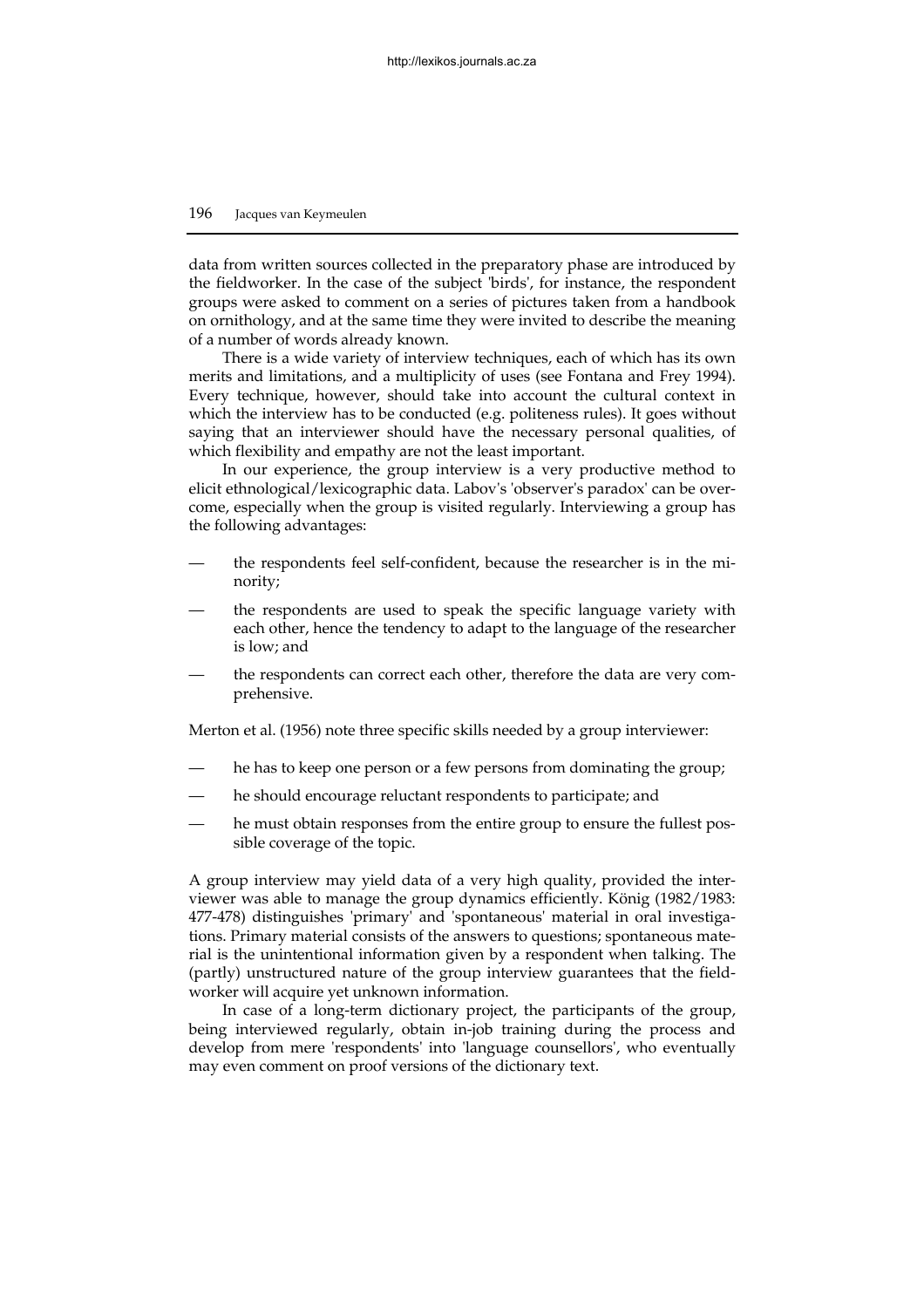data from written sources collected in the preparatory phase are introduced by the fieldworker. In the case of the subject 'birds', for instance, the respondent groups were asked to comment on a series of pictures taken from a handbook on ornithology, and at the same time they were invited to describe the meaning of a number of words already known.

There is a wide variety of interview techniques, each of which has its own merits and limitations, and a multiplicity of uses (see Fontana and Frey 1994). Every technique, however, should take into account the cultural context in which the interview has to be conducted (e.g. politeness rules). It goes without saying that an interviewer should have the necessary personal qualities, of which flexibility and empathy are not the least important.

In our experience, the group interview is a very productive method to elicit ethnological/lexicographic data. Labov's 'observer's paradox' can be overcome, especially when the group is visited regularly. Interviewing a group has the following advantages:

- the respondents feel self-confident, because the researcher is in the minority;
- the respondents are used to speak the specific language variety with each other, hence the tendency to adapt to the language of the researcher is low; and
- the respondents can correct each other, therefore the data are very comprehensive.

Merton et al. (1956) note three specific skills needed by a group interviewer:

- he has to keep one person or a few persons from dominating the group;
- he should encourage reluctant respondents to participate; and
- he must obtain responses from the entire group to ensure the fullest possible coverage of the topic.

A group interview may yield data of a very high quality, provided the interviewer was able to manage the group dynamics efficiently. König (1982/1983: 477-478) distinguishes 'primary' and 'spontaneous' material in oral investigations. Primary material consists of the answers to questions; spontaneous material is the unintentional information given by a respondent when talking. The (partly) unstructured nature of the group interview guarantees that the fieldworker will acquire yet unknown information.

In case of a long-term dictionary project, the participants of the group, being interviewed regularly, obtain in-job training during the process and develop from mere 'respondents' into 'language counsellors', who eventually may even comment on proof versions of the dictionary text.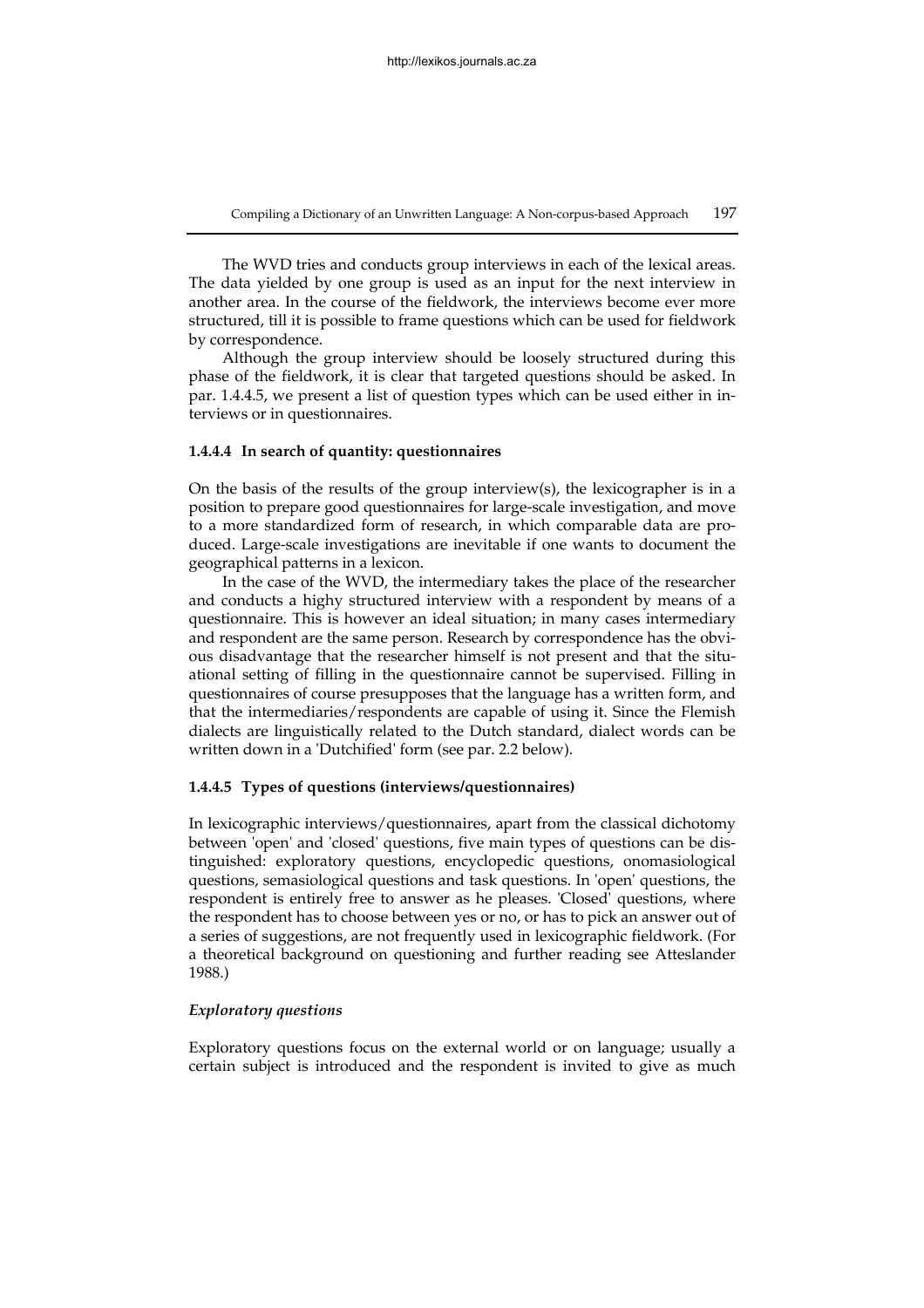The WVD tries and conducts group interviews in each of the lexical areas. The data yielded by one group is used as an input for the next interview in another area. In the course of the fieldwork, the interviews become ever more structured, till it is possible to frame questions which can be used for fieldwork by correspondence.

Although the group interview should be loosely structured during this phase of the fieldwork, it is clear that targeted questions should be asked. In par. 1.4.4.5, we present a list of question types which can be used either in interviews or in questionnaires.

## **1.4.4.4 In search of quantity: questionnaires**

On the basis of the results of the group interview(s), the lexicographer is in a position to prepare good questionnaires for large-scale investigation, and move to a more standardized form of research, in which comparable data are produced. Large-scale investigations are inevitable if one wants to document the geographical patterns in a lexicon.

In the case of the WVD, the intermediary takes the place of the researcher and conducts a highy structured interview with a respondent by means of a questionnaire. This is however an ideal situation; in many cases intermediary and respondent are the same person. Research by correspondence has the obvious disadvantage that the researcher himself is not present and that the situational setting of filling in the questionnaire cannot be supervised. Filling in questionnaires of course presupposes that the language has a written form, and that the intermediaries/respondents are capable of using it. Since the Flemish dialects are linguistically related to the Dutch standard, dialect words can be written down in a 'Dutchified' form (see par. 2.2 below).

## **1.4.4.5 Types of questions (interviews/questionnaires)**

In lexicographic interviews/questionnaires, apart from the classical dichotomy between 'open' and 'closed' questions, five main types of questions can be distinguished: exploratory questions, encyclopedic questions, onomasiological questions, semasiological questions and task questions. In 'open' questions, the respondent is entirely free to answer as he pleases. 'Closed' questions, where the respondent has to choose between yes or no, or has to pick an answer out of a series of suggestions, are not frequently used in lexicographic fieldwork. (For a theoretical background on questioning and further reading see Atteslander 1988.)

# *Exploratory questions*

Exploratory questions focus on the external world or on language; usually a certain subject is introduced and the respondent is invited to give as much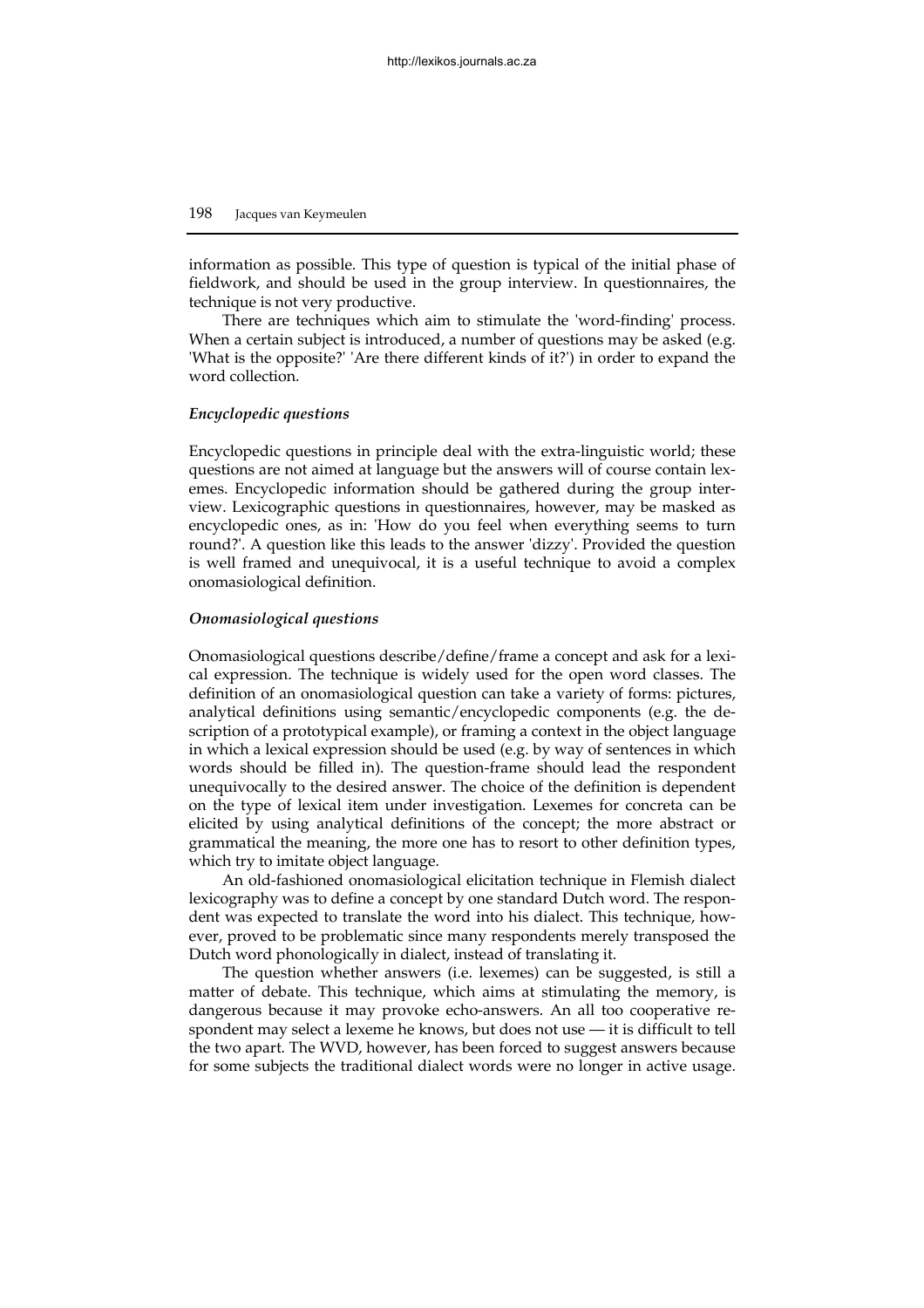information as possible. This type of question is typical of the initial phase of fieldwork, and should be used in the group interview. In questionnaires, the technique is not very productive.

There are techniques which aim to stimulate the 'word-finding' process. When a certain subject is introduced, a number of questions may be asked (e.g. 'What is the opposite?' 'Are there different kinds of it?') in order to expand the word collection.

### *Encyclopedic questions*

Encyclopedic questions in principle deal with the extra-linguistic world; these questions are not aimed at language but the answers will of course contain lexemes. Encyclopedic information should be gathered during the group interview. Lexicographic questions in questionnaires, however, may be masked as encyclopedic ones, as in: 'How do you feel when everything seems to turn round?'. A question like this leads to the answer 'dizzy'. Provided the question is well framed and unequivocal, it is a useful technique to avoid a complex onomasiological definition.

## *Onomasiological questions*

Onomasiological questions describe/define/frame a concept and ask for a lexical expression. The technique is widely used for the open word classes. The definition of an onomasiological question can take a variety of forms: pictures, analytical definitions using semantic/encyclopedic components (e.g. the description of a prototypical example), or framing a context in the object language in which a lexical expression should be used (e.g. by way of sentences in which words should be filled in). The question-frame should lead the respondent unequivocally to the desired answer. The choice of the definition is dependent on the type of lexical item under investigation. Lexemes for concreta can be elicited by using analytical definitions of the concept; the more abstract or grammatical the meaning, the more one has to resort to other definition types, which try to imitate object language.

An old-fashioned onomasiological elicitation technique in Flemish dialect lexicography was to define a concept by one standard Dutch word. The respondent was expected to translate the word into his dialect. This technique, however, proved to be problematic since many respondents merely transposed the Dutch word phonologically in dialect, instead of translating it.

The question whether answers (i.e. lexemes) can be suggested, is still a matter of debate. This technique, which aims at stimulating the memory, is dangerous because it may provoke echo-answers. An all too cooperative respondent may select a lexeme he knows, but does not use — it is difficult to tell the two apart. The WVD, however, has been forced to suggest answers because for some subjects the traditional dialect words were no longer in active usage.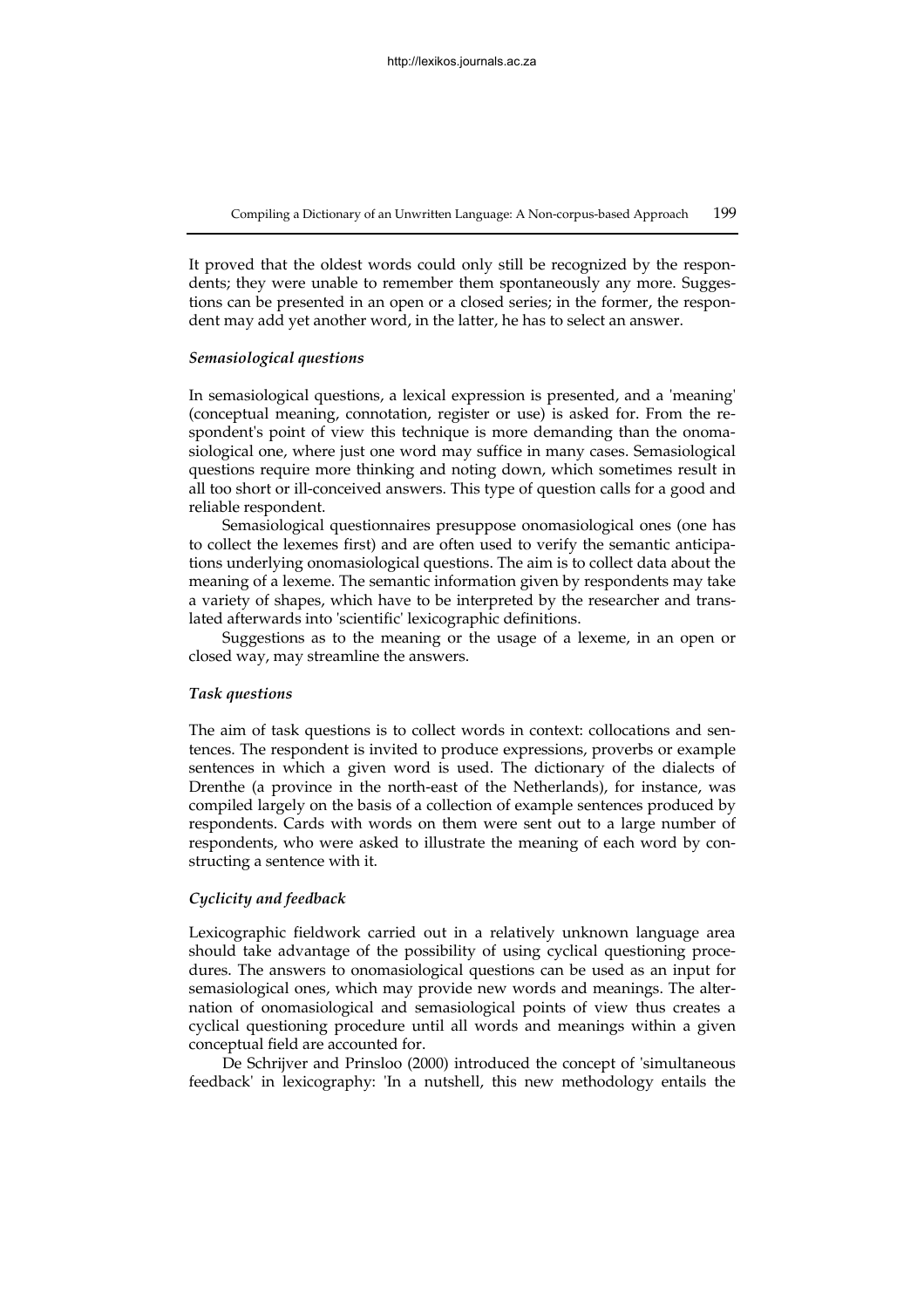It proved that the oldest words could only still be recognized by the respondents; they were unable to remember them spontaneously any more. Suggestions can be presented in an open or a closed series; in the former, the respondent may add yet another word, in the latter, he has to select an answer.

## *Semasiological questions*

In semasiological questions, a lexical expression is presented, and a 'meaning' (conceptual meaning, connotation, register or use) is asked for. From the respondent's point of view this technique is more demanding than the onomasiological one, where just one word may suffice in many cases. Semasiological questions require more thinking and noting down, which sometimes result in all too short or ill-conceived answers. This type of question calls for a good and reliable respondent.

Semasiological questionnaires presuppose onomasiological ones (one has to collect the lexemes first) and are often used to verify the semantic anticipations underlying onomasiological questions. The aim is to collect data about the meaning of a lexeme. The semantic information given by respondents may take a variety of shapes, which have to be interpreted by the researcher and translated afterwards into 'scientific' lexicographic definitions.

Suggestions as to the meaning or the usage of a lexeme, in an open or closed way, may streamline the answers.

## *Task questions*

The aim of task questions is to collect words in context: collocations and sentences. The respondent is invited to produce expressions, proverbs or example sentences in which a given word is used. The dictionary of the dialects of Drenthe (a province in the north-east of the Netherlands), for instance, was compiled largely on the basis of a collection of example sentences produced by respondents. Cards with words on them were sent out to a large number of respondents, who were asked to illustrate the meaning of each word by constructing a sentence with it.

## *Cyclicity and feedback*

Lexicographic fieldwork carried out in a relatively unknown language area should take advantage of the possibility of using cyclical questioning procedures. The answers to onomasiological questions can be used as an input for semasiological ones, which may provide new words and meanings. The alternation of onomasiological and semasiological points of view thus creates a cyclical questioning procedure until all words and meanings within a given conceptual field are accounted for.

De Schrijver and Prinsloo (2000) introduced the concept of 'simultaneous feedback' in lexicography: 'In a nutshell, this new methodology entails the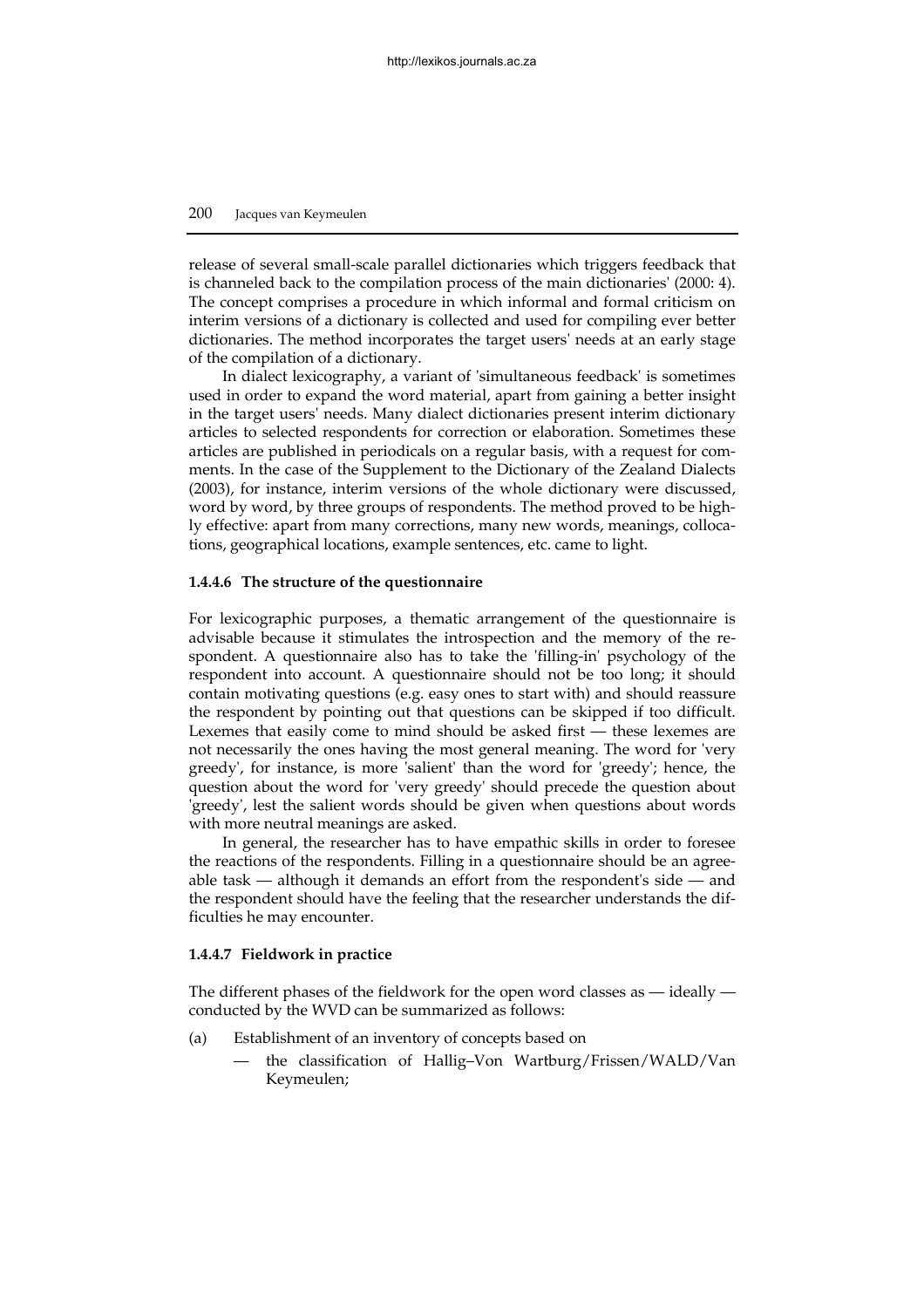release of several small-scale parallel dictionaries which triggers feedback that is channeled back to the compilation process of the main dictionaries' (2000: 4). The concept comprises a procedure in which informal and formal criticism on interim versions of a dictionary is collected and used for compiling ever better dictionaries. The method incorporates the target users' needs at an early stage of the compilation of a dictionary.

In dialect lexicography, a variant of 'simultaneous feedback' is sometimes used in order to expand the word material, apart from gaining a better insight in the target users' needs. Many dialect dictionaries present interim dictionary articles to selected respondents for correction or elaboration. Sometimes these articles are published in periodicals on a regular basis, with a request for comments. In the case of the Supplement to the Dictionary of the Zealand Dialects (2003), for instance, interim versions of the whole dictionary were discussed, word by word, by three groups of respondents. The method proved to be highly effective: apart from many corrections, many new words, meanings, collocations, geographical locations, example sentences, etc. came to light.

### **1.4.4.6 The structure of the questionnaire**

For lexicographic purposes, a thematic arrangement of the questionnaire is advisable because it stimulates the introspection and the memory of the respondent. A questionnaire also has to take the 'filling-in' psychology of the respondent into account. A questionnaire should not be too long; it should contain motivating questions (e.g. easy ones to start with) and should reassure the respondent by pointing out that questions can be skipped if too difficult. Lexemes that easily come to mind should be asked first — these lexemes are not necessarily the ones having the most general meaning. The word for 'very greedy', for instance, is more 'salient' than the word for 'greedy'; hence, the question about the word for 'very greedy' should precede the question about 'greedy', lest the salient words should be given when questions about words with more neutral meanings are asked.

In general, the researcher has to have empathic skills in order to foresee the reactions of the respondents. Filling in a questionnaire should be an agreeable task — although it demands an effort from the respondent's side — and the respondent should have the feeling that the researcher understands the difficulties he may encounter.

## **1.4.4.7 Fieldwork in practice**

The different phases of the fieldwork for the open word classes as — ideally conducted by the WVD can be summarized as follows:

- (a) Establishment of an inventory of concepts based on
	- the classification of Hallig–Von Wartburg/Frissen/WALD/Van Keymeulen;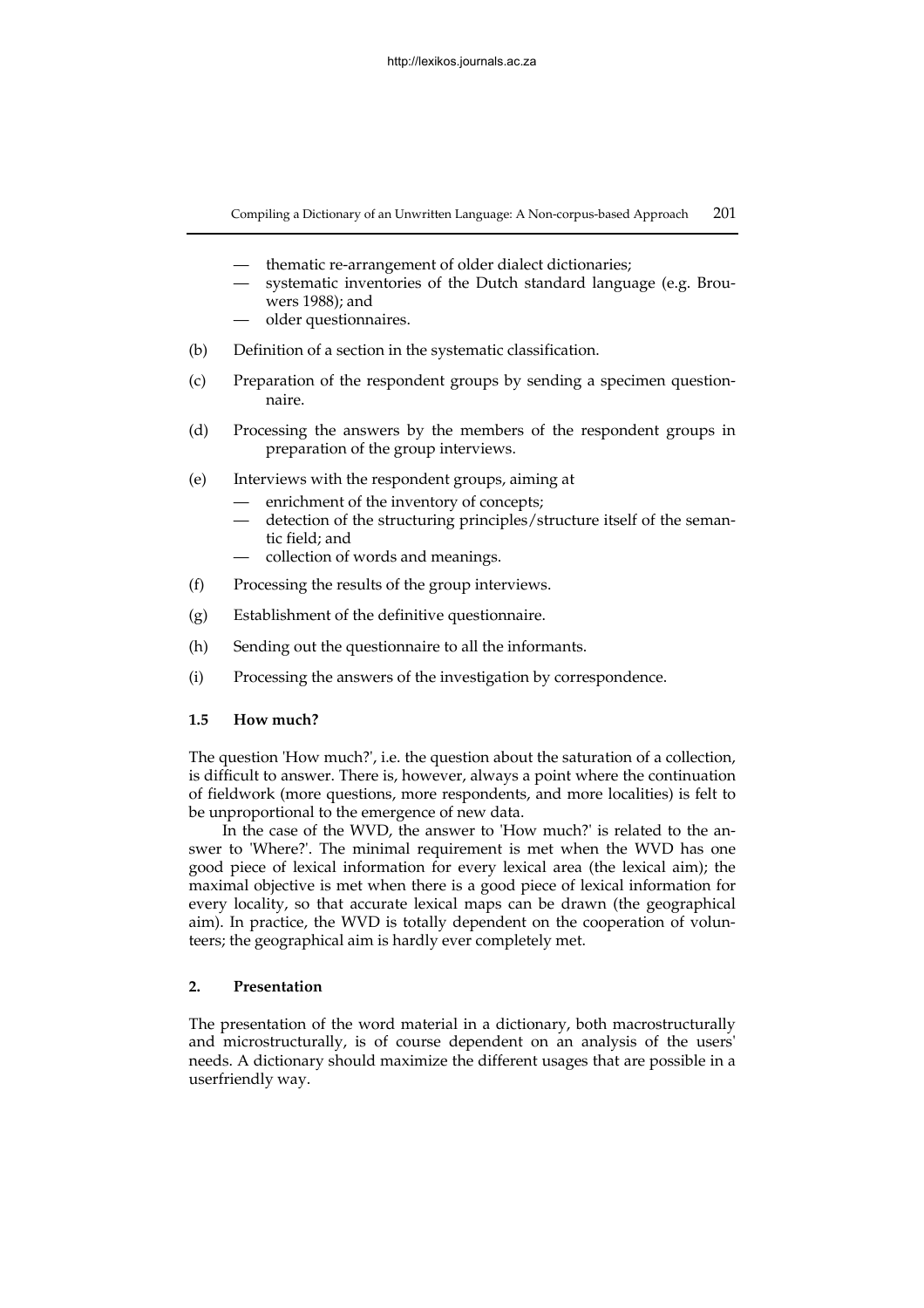Compiling a Dictionary of an Unwritten Language: A Non-corpus-based Approach 201

- thematic re-arrangement of older dialect dictionaries;
- systematic inventories of the Dutch standard language (e.g. Brouwers 1988); and
- older questionnaires.
- (b) Definition of a section in the systematic classification.
- (c) Preparation of the respondent groups by sending a specimen questionnaire.
- (d) Processing the answers by the members of the respondent groups in preparation of the group interviews.
- (e) Interviews with the respondent groups, aiming at
	- enrichment of the inventory of concepts;
	- detection of the structuring principles/structure itself of the semantic field; and
	- collection of words and meanings.
- (f) Processing the results of the group interviews.
- (g) Establishment of the definitive questionnaire.
- (h) Sending out the questionnaire to all the informants.
- (i) Processing the answers of the investigation by correspondence.

# **1.5 How much?**

The question 'How much?', i.e. the question about the saturation of a collection, is difficult to answer. There is, however, always a point where the continuation of fieldwork (more questions, more respondents, and more localities) is felt to be unproportional to the emergence of new data.

In the case of the WVD, the answer to 'How much?' is related to the answer to 'Where?'. The minimal requirement is met when the WVD has one good piece of lexical information for every lexical area (the lexical aim); the maximal objective is met when there is a good piece of lexical information for every locality, so that accurate lexical maps can be drawn (the geographical aim). In practice, the WVD is totally dependent on the cooperation of volunteers; the geographical aim is hardly ever completely met.

# **2. Presentation**

The presentation of the word material in a dictionary, both macrostructurally and microstructurally, is of course dependent on an analysis of the users' needs. A dictionary should maximize the different usages that are possible in a userfriendly way.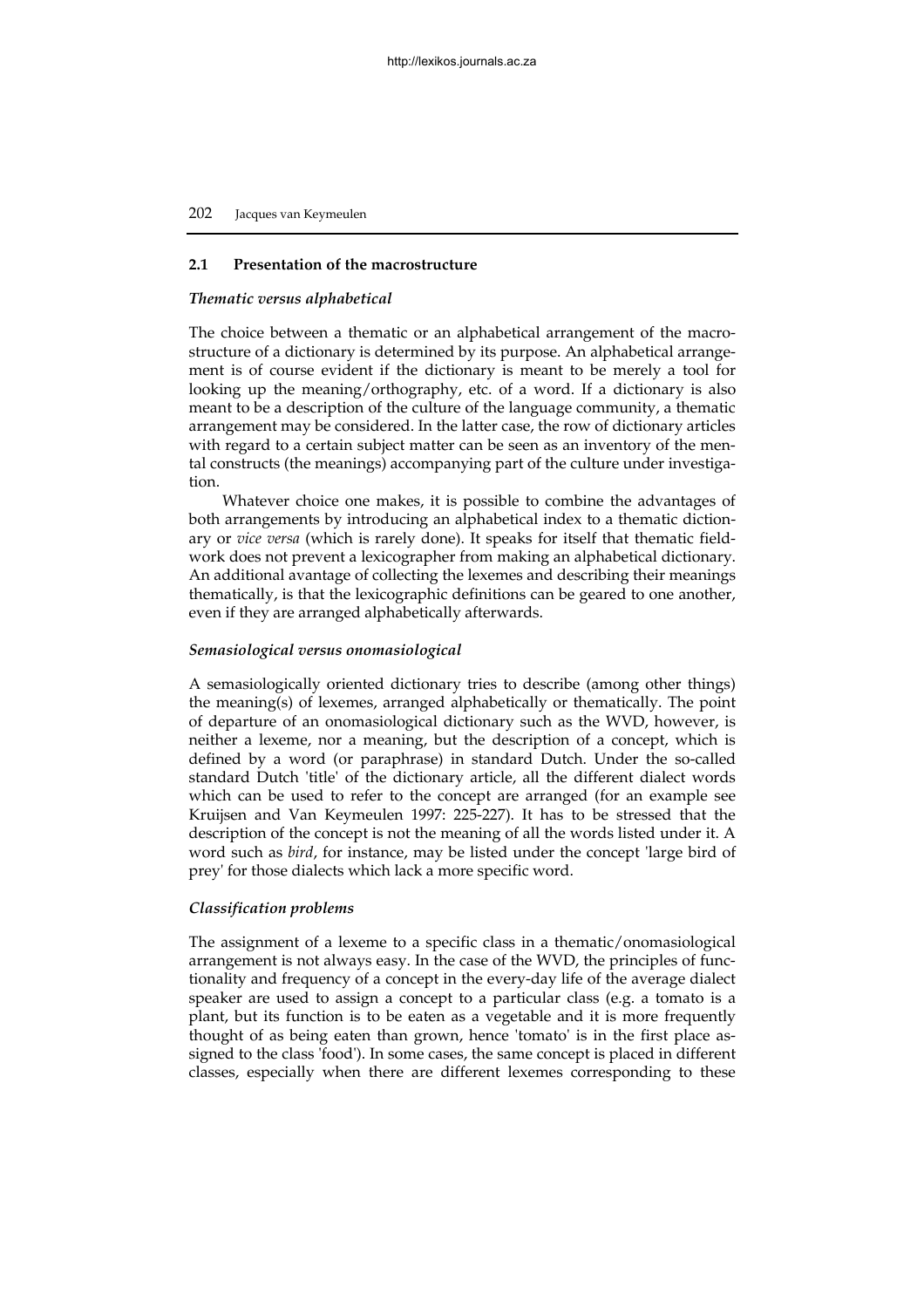# **2.1 Presentation of the macrostructure**

### *Thematic versus alphabetical*

The choice between a thematic or an alphabetical arrangement of the macrostructure of a dictionary is determined by its purpose. An alphabetical arrangement is of course evident if the dictionary is meant to be merely a tool for looking up the meaning/orthography, etc. of a word. If a dictionary is also meant to be a description of the culture of the language community, a thematic arrangement may be considered. In the latter case, the row of dictionary articles with regard to a certain subject matter can be seen as an inventory of the mental constructs (the meanings) accompanying part of the culture under investigation.

Whatever choice one makes, it is possible to combine the advantages of both arrangements by introducing an alphabetical index to a thematic dictionary or *vice versa* (which is rarely done). It speaks for itself that thematic fieldwork does not prevent a lexicographer from making an alphabetical dictionary. An additional avantage of collecting the lexemes and describing their meanings thematically, is that the lexicographic definitions can be geared to one another, even if they are arranged alphabetically afterwards.

#### *Semasiological versus onomasiological*

A semasiologically oriented dictionary tries to describe (among other things) the meaning(s) of lexemes, arranged alphabetically or thematically. The point of departure of an onomasiological dictionary such as the WVD, however, is neither a lexeme, nor a meaning, but the description of a concept, which is defined by a word (or paraphrase) in standard Dutch. Under the so-called standard Dutch 'title' of the dictionary article, all the different dialect words which can be used to refer to the concept are arranged (for an example see Kruijsen and Van Keymeulen 1997: 225-227). It has to be stressed that the description of the concept is not the meaning of all the words listed under it. A word such as *bird*, for instance, may be listed under the concept 'large bird of prey' for those dialects which lack a more specific word.

# *Classification problems*

The assignment of a lexeme to a specific class in a thematic/onomasiological arrangement is not always easy. In the case of the WVD, the principles of functionality and frequency of a concept in the every-day life of the average dialect speaker are used to assign a concept to a particular class (e.g. a tomato is a plant, but its function is to be eaten as a vegetable and it is more frequently thought of as being eaten than grown, hence 'tomato' is in the first place assigned to the class 'food'). In some cases, the same concept is placed in different classes, especially when there are different lexemes corresponding to these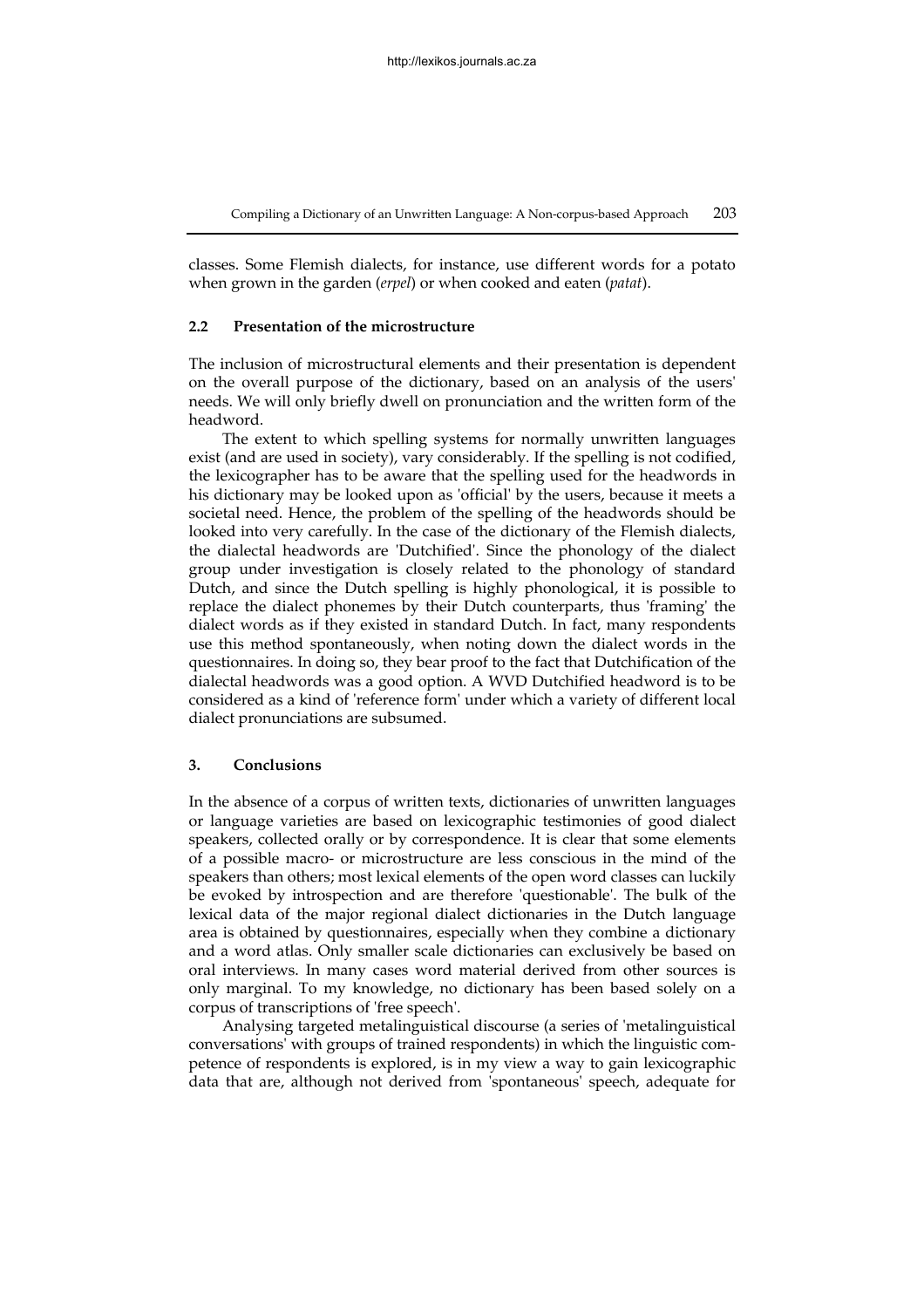classes. Some Flemish dialects, for instance, use different words for a potato when grown in the garden (*erpel*) or when cooked and eaten (*patat*).

## **2.2 Presentation of the microstructure**

The inclusion of microstructural elements and their presentation is dependent on the overall purpose of the dictionary, based on an analysis of the users' needs. We will only briefly dwell on pronunciation and the written form of the headword.

The extent to which spelling systems for normally unwritten languages exist (and are used in society), vary considerably. If the spelling is not codified, the lexicographer has to be aware that the spelling used for the headwords in his dictionary may be looked upon as 'official' by the users, because it meets a societal need. Hence, the problem of the spelling of the headwords should be looked into very carefully. In the case of the dictionary of the Flemish dialects, the dialectal headwords are 'Dutchified'. Since the phonology of the dialect group under investigation is closely related to the phonology of standard Dutch, and since the Dutch spelling is highly phonological, it is possible to replace the dialect phonemes by their Dutch counterparts, thus 'framing' the dialect words as if they existed in standard Dutch. In fact, many respondents use this method spontaneously, when noting down the dialect words in the questionnaires. In doing so, they bear proof to the fact that Dutchification of the dialectal headwords was a good option. A WVD Dutchified headword is to be considered as a kind of 'reference form' under which a variety of different local dialect pronunciations are subsumed.

## **3. Conclusions**

In the absence of a corpus of written texts, dictionaries of unwritten languages or language varieties are based on lexicographic testimonies of good dialect speakers, collected orally or by correspondence. It is clear that some elements of a possible macro- or microstructure are less conscious in the mind of the speakers than others; most lexical elements of the open word classes can luckily be evoked by introspection and are therefore 'questionable'. The bulk of the lexical data of the major regional dialect dictionaries in the Dutch language area is obtained by questionnaires, especially when they combine a dictionary and a word atlas. Only smaller scale dictionaries can exclusively be based on oral interviews. In many cases word material derived from other sources is only marginal. To my knowledge, no dictionary has been based solely on a corpus of transcriptions of 'free speech'.

Analysing targeted metalinguistical discourse (a series of 'metalinguistical conversations' with groups of trained respondents) in which the linguistic competence of respondents is explored, is in my view a way to gain lexicographic data that are, although not derived from 'spontaneous' speech, adequate for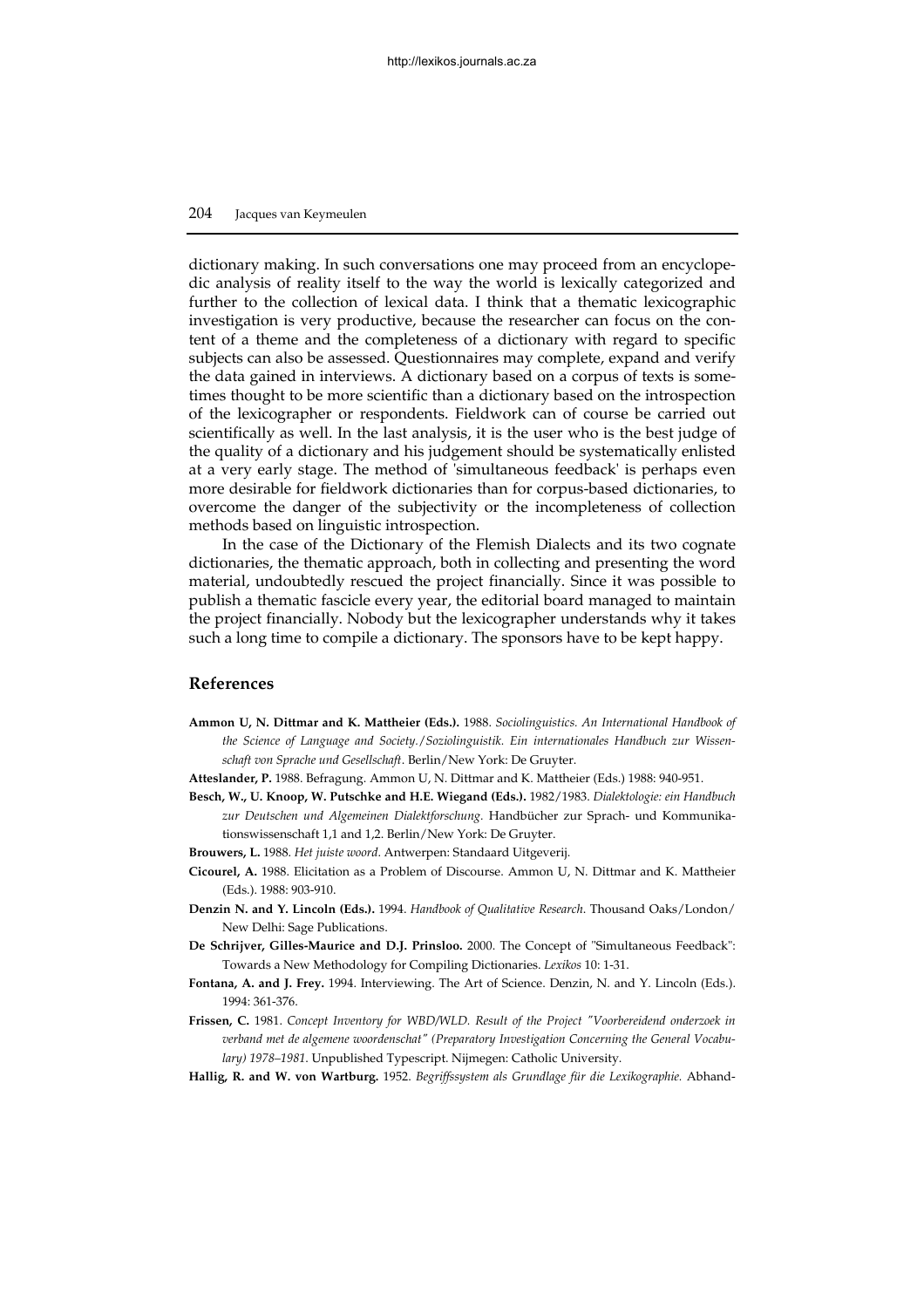dictionary making. In such conversations one may proceed from an encyclopedic analysis of reality itself to the way the world is lexically categorized and further to the collection of lexical data. I think that a thematic lexicographic investigation is very productive, because the researcher can focus on the content of a theme and the completeness of a dictionary with regard to specific subjects can also be assessed. Questionnaires may complete, expand and verify the data gained in interviews. A dictionary based on a corpus of texts is sometimes thought to be more scientific than a dictionary based on the introspection of the lexicographer or respondents. Fieldwork can of course be carried out scientifically as well. In the last analysis, it is the user who is the best judge of the quality of a dictionary and his judgement should be systematically enlisted at a very early stage. The method of 'simultaneous feedback' is perhaps even more desirable for fieldwork dictionaries than for corpus-based dictionaries, to overcome the danger of the subjectivity or the incompleteness of collection methods based on linguistic introspection.

In the case of the Dictionary of the Flemish Dialects and its two cognate dictionaries, the thematic approach, both in collecting and presenting the word material, undoubtedly rescued the project financially. Since it was possible to publish a thematic fascicle every year, the editorial board managed to maintain the project financially. Nobody but the lexicographer understands why it takes such a long time to compile a dictionary. The sponsors have to be kept happy.

## **References**

- **Ammon U, N. Dittmar and K. Mattheier (Eds.).** 1988. *Sociolinguistics. An International Handbook of the Science of Language and Society.*/*Soziolinguistik. Ein internationales Handbuch zur Wissenschaft von Sprache und Gesellschaft*. Berlin/New York: De Gruyter.
- **Atteslander, P.** 1988. Befragung. Ammon U, N. Dittmar and K. Mattheier (Eds.) 1988: 940-951.
- **Besch, W., U. Knoop, W. Putschke and H.E. Wiegand (Eds.).** 1982/1983. *Dialektologie: ein Handbuch zur Deutschen und Algemeinen Dialektforschung.* Handbücher zur Sprach- und Kommunikationswissenschaft 1,1 and 1,2. Berlin/New York: De Gruyter.
- **Brouwers, L.** 1988. *Het juiste woord*. Antwerpen: Standaard Uitgeverij.
- **Cicourel, A.** 1988. Elicitation as a Problem of Discourse. Ammon U, N. Dittmar and K. Mattheier (Eds.). 1988: 903-910.
- **Denzin N. and Y. Lincoln (Eds.).** 1994. *Handbook of Qualitative Research*. Thousand Oaks/London/ New Delhi: Sage Publications.
- **De Schrijver, Gilles-Maurice and D.J. Prinsloo.** 2000. The Concept of "Simultaneous Feedback": Towards a New Methodology for Compiling Dictionaries. *Lexikos* 10: 1-31.
- **Fontana, A. and J. Frey.** 1994. Interviewing. The Art of Science. Denzin, N. and Y. Lincoln (Eds.). 1994: 361-376.
- **Frissen, C.** 1981. *Concept Inventory for WBD/WLD. Result of the Project "Voorbereidend onderzoek in verband met de algemene woordenschat" (Preparatory Investigation Concerning the General Vocabulary) 1978–1981*. Unpublished Typescript. Nijmegen: Catholic University.
- **Hallig, R. and W. von Wartburg.** 1952. *Begriffssystem als Grundlage für die Lexikographie.* Abhand-